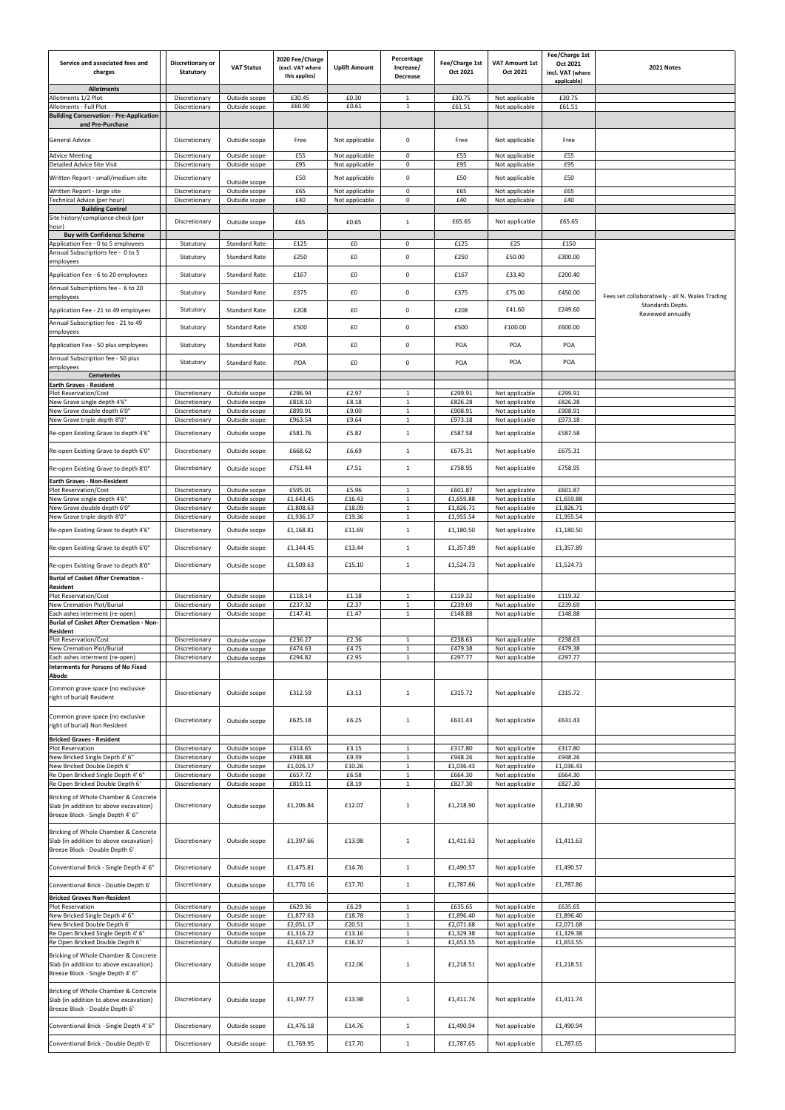| Service and associated fees and<br>charges<br><b>Allotments</b>                                                                                        | Discretionary or<br><b>Statutory</b> | <b>VAT Status</b>              | 2020 Fee/Charge<br>(excl. VAT where<br>this applies) | <b>Uplift Amount</b>             | Percentage<br>Increase/<br>Decrease | Fee/Charge 1st<br>Oct 2021 | <b>VAT Amount 1st</b><br>Oct 2021 | Fee/Charge 1st<br>Oct 2021<br>incl. VAT (where<br>applicable) | 2021 Notes                                      |
|--------------------------------------------------------------------------------------------------------------------------------------------------------|--------------------------------------|--------------------------------|------------------------------------------------------|----------------------------------|-------------------------------------|----------------------------|-----------------------------------|---------------------------------------------------------------|-------------------------------------------------|
| Allotments 1/2 Plot                                                                                                                                    | Discretionary                        | Outside scope                  | £30.45                                               | £0.30                            | $\mathbf{1}$                        | £30.75                     | Not applicable                    | £30.75                                                        |                                                 |
| Allotments - Full Plot<br><b>Building Conservation - Pre-Application</b><br>and Pre-Purchase                                                           | Discretionary                        | Outside scope                  | £60.90                                               | £0.61                            | $\mathbf{1}$                        | £61.51                     | Not applicable                    | £61.51                                                        |                                                 |
| <b>General Advice</b>                                                                                                                                  | Discretionary                        | Outside scope                  | Free                                                 | Not applicable                   | $\mathbf 0$                         | Free                       | Not applicable                    | Free                                                          |                                                 |
| <b>Advice Meeting</b><br><b>Detailed Advice Site Visit</b>                                                                                             | Discretionary<br>Discretionary       | Outside scope<br>Outside scope | £55<br>£95                                           | Not applicable<br>Not applicable | $\mathbf 0$<br>$\mathsf 0$          | £55<br>£95                 | Not applicable<br>Not applicable  | £55<br>£95                                                    |                                                 |
| Written Report - small/medium site                                                                                                                     | Discretionary                        | Outside scope                  | £50                                                  | Not applicable                   | $\mathbf 0$                         | £50                        | Not applicable                    | £50                                                           |                                                 |
| Written Report - large site                                                                                                                            | Discretionary                        | Outside scope                  | £65                                                  | Not applicable                   | $\mathbf 0$                         | £65                        | Not applicable                    | £65                                                           |                                                 |
| Technical Advice (per hour)<br><b>Building Control</b>                                                                                                 | Discretionary                        | Outside scope                  | £40                                                  | Not applicable                   | $\mathbf 0$                         | £40                        | Not applicable                    | £40                                                           |                                                 |
| Site history/compliance check (per<br>hour)                                                                                                            | Discretionary                        | Outside scope                  | £65                                                  | £0.65                            | 1                                   | £65.65                     | Not applicable                    | £65.65                                                        |                                                 |
| <b>Buy with Confidence Scheme</b>                                                                                                                      |                                      |                                |                                                      |                                  |                                     |                            |                                   |                                                               |                                                 |
| Application Fee - 0 to 5 employees<br>Annual Subscriptions fee - 0 to 5                                                                                | Statutory                            | <b>Standard Rate</b>           | £125                                                 | £0                               | 0                                   | £125                       | £25                               | £150                                                          |                                                 |
| employees                                                                                                                                              | Statutory                            | <b>Standard Rate</b>           | £250                                                 | £0                               | $\mathbf 0$                         | £250                       | £50.00                            | £300.00                                                       |                                                 |
| Application Fee - 6 to 20 employees                                                                                                                    | Statutory                            | <b>Standard Rate</b>           | £167                                                 | £0                               | $\mathbf 0$                         | £167                       | £33.40                            | £200.40                                                       |                                                 |
| Annual Subscriptions fee - 6 to 20<br>employees                                                                                                        | Statutory                            | <b>Standard Rate</b>           | £375                                                 | £0                               | $\mathbf 0$                         | £375                       | £75.00                            | £450.00                                                       | Fees set collaboratively - all N. Wales Trading |
| Application Fee - 21 to 49 employees                                                                                                                   | Statutory                            | Standard Rate                  | £208                                                 | £0                               | $\mathbf 0$                         | £208                       | £41.60                            | £249.60                                                       | Standards Depts.<br>Reviewed annually           |
| Annual Subscription fee - 21 to 49                                                                                                                     | Statutory                            | Standard Rate                  | £500                                                 | £0                               | $\boldsymbol{0}$                    | £500                       | £100.00                           | £600.00                                                       |                                                 |
| employees                                                                                                                                              |                                      |                                | POA                                                  | £0                               | $\mathbf 0$                         | POA                        | POA                               | POA                                                           |                                                 |
| Application Fee - 50 plus employees<br>Annual Subscription fee - 50 plus                                                                               | Statutory                            | <b>Standard Rate</b>           |                                                      |                                  |                                     |                            |                                   |                                                               |                                                 |
| employees                                                                                                                                              | Statutory                            | <b>Standard Rate</b>           | POA                                                  | £0                               | 0                                   | POA                        | POA                               | POA                                                           |                                                 |
| <b>Cemeteries</b><br><b>Earth Graves - Resident</b>                                                                                                    |                                      |                                |                                                      |                                  |                                     |                            |                                   |                                                               |                                                 |
| Plot Reservation/Cost<br>New Grave single depth 4'6"                                                                                                   | Discretionary<br>Discretionary       | Outside scope<br>Outside scope | £296.94<br>£818.10                                   | £2.97<br>£8.18                   | 1<br>$\mathbf{1}$                   | £299.91<br>£826.28         | Not applicable<br>Not applicable  | £299.91<br>£826.28                                            |                                                 |
| New Grave double depth 6'0"                                                                                                                            | Discretionary                        | Outside scope                  | £899.91                                              | £9.00                            | $\mathbf{1}$                        | £908.91                    | Not applicable                    | £908.91                                                       |                                                 |
| New Grave triple depth 8'0"                                                                                                                            | Discretionary                        | Outside scope                  | £963.54                                              | £9.64                            | $\mathbf{1}$                        | £973.18                    | Not applicable                    | £973.18                                                       |                                                 |
| Re-open Existing Grave to depth 4'6"                                                                                                                   | Discretionary                        | Outside scope                  | £581.76                                              | £5.82                            | $\mathbf{1}$                        | £587.58                    | Not applicable                    | £587.58                                                       |                                                 |
| Re-open Existing Grave to depth 6'0"                                                                                                                   | Discretionary                        | Outside scope                  | £668.62                                              | £6.69                            | 1                                   | £675.31                    | Not applicable                    | £675.31                                                       |                                                 |
| Re-open Existing Grave to depth 8'0"                                                                                                                   | Discretionary                        | Outside scope                  | £751.44                                              | £7.51                            | $\mathbf{1}$                        | £758.95                    | Not applicable                    | £758.95                                                       |                                                 |
| <b>Earth Graves - Non-Resident</b>                                                                                                                     |                                      |                                |                                                      |                                  |                                     |                            |                                   |                                                               |                                                 |
| Plot Reservation/Cost<br>New Grave single depth 4'6"                                                                                                   | Discretionary<br>Discretionary       | Outside scope<br>Outside scope | £595.91<br>£1,643.45                                 | £5.96<br>£16.43                  | $\mathbf{1}$<br>$\mathbf{1}$        | £601.87<br>£1,659.88       | Not applicable<br>Not applicable  | £601.87<br>£1,659.88                                          |                                                 |
| New Grave double depth 6'0"                                                                                                                            | Discretionary                        | Outside scope                  | £1,808.63                                            | £18.09                           | 1                                   | £1,826.71                  | Not applicable                    | £1,826.71                                                     |                                                 |
| New Grave triple depth 8'0"<br>Re-open Existing Grave to depth 4'6"                                                                                    | Discretionary<br>Discretionary       | Outside scope<br>Outside scope | £1,936.17<br>£1,168.81                               | £19.36<br>£11.69                 | 1<br>$\mathbf{1}$                   | £1,955.54<br>£1,180.50     | Not applicable<br>Not applicable  | £1,955.54<br>£1,180.50                                        |                                                 |
| Re-open Existing Grave to depth 6'0"                                                                                                                   | Discretionary                        | Outside scope                  | £1,344.45                                            | £13.44                           | $\mathbf{1}$                        | £1,357.89                  | Not applicable                    | £1,357.89                                                     |                                                 |
| Re-open Existing Grave to depth 8'0"                                                                                                                   | Discretionary                        | Outside scope                  | £1,509.63                                            | £15.10                           | $\mathbf{1}$                        | £1,524.73                  | Not applicable                    | £1,524.73                                                     |                                                 |
| <b>Burial of Casket After Cremation -</b>                                                                                                              |                                      |                                |                                                      |                                  |                                     |                            |                                   |                                                               |                                                 |
| Resident<br>Plot Reservation/Cost                                                                                                                      | Discretionary                        | Outside scope                  | £118.14                                              | £1.18                            | $\mathbf{1}$                        | £119.32                    | Not applicable                    | £119.32                                                       |                                                 |
| New Cremation Plot/Burial                                                                                                                              | Discretionary                        | Outside scope                  | £237.32                                              | £2.37                            | $\mathbf{1}$                        | £239.69                    | Not applicable                    | £239.69                                                       |                                                 |
| Each ashes interment (re-open)<br><b>Burial of Casket After Cremation - Non-</b><br>Resident                                                           | Discretionary                        | Outside scope                  | £147.41                                              | £1.47                            | 1                                   | £148.88                    | Not applicable                    | £148.88                                                       |                                                 |
| Plot Reservation/Cost<br><b>New Cremation Plot/Burial</b>                                                                                              | Discretionary<br>Discretionary       | Outside scope<br>Outside scope | £236.27<br>£474.63                                   | £2.36<br>£4.75                   | $\mathbf{1}$<br>1                   | £238.63<br>£479.38         | Not applicable<br>Not applicable  | £238.63<br>£479.38                                            |                                                 |
| Each ashes interment (re-open)<br>Interments for Persons of No Fixed                                                                                   | Discretionary                        | Outside scope                  | £294.82                                              | £2.95                            | $\mathbf{1}$                        | £297.77                    | Not applicable                    | £297.77                                                       |                                                 |
| Abode<br>Common grave space (no exclusive                                                                                                              | Discretionary                        | Outside scope                  | £312.59                                              | £3.13                            | $\mathbf{1}$                        | £315.72                    | Not applicable                    | £315.72                                                       |                                                 |
| right of burial) Resident<br>Common grave space (no exclusive                                                                                          |                                      |                                |                                                      |                                  |                                     |                            |                                   |                                                               |                                                 |
| right of burial) Non Resident<br><b>Bricked Graves - Resident</b>                                                                                      | Discretionary                        | Outside scope                  | £625.18                                              | £6.25                            | 1                                   | £631.43                    | Not applicable                    | £631.43                                                       |                                                 |
| Plot Reservation                                                                                                                                       | Discretionary                        | Outside scope                  | £314.65                                              | £3.15                            | $\mathbf{1}$                        | £317.80                    | Not applicable                    | £317.80                                                       |                                                 |
| New Bricked Single Depth 4' 6"<br>Vew Bricked Double Depth 6'                                                                                          | Discretionary<br>Discretionary       | Outside scope<br>Outside scope | £938.88<br>£1,026.17                                 | £9.39<br>£10.26                  | 1<br>$\mathbf{1}$                   | £948.26<br>£1,036.43       | Not applicable<br>Not applicable  | £948.26<br>£1,036.43                                          |                                                 |
| Re Open Bricked Single Depth 4' 6"                                                                                                                     | Discretionary                        | Outside scope                  | £657.72                                              | £6.58                            | $\mathbf{1}$                        | £664.30                    | Not applicable                    | £664.30                                                       |                                                 |
| Re Open Bricked Double Depth 6'<br>Bricking of Whole Chamber & Concrete<br>Slab (in addition to above excavation)<br>Breeze Block - Single Depth 4' 6" | Discretionary<br>Discretionary       | Outside scope<br>Outside scope | £819.11<br>£1,206.84                                 | £8.19<br>£12.07                  | $\mathbf{1}$<br>$\mathbf{1}$        | £827.30<br>£1,218.90       | Not applicable<br>Not applicable  | £827.30<br>£1,218.90                                          |                                                 |
| Bricking of Whole Chamber & Concrete<br>Slab (in addition to above excavation)<br>Breeze Block - Double Depth 6'                                       | Discretionary                        | Outside scope                  | £1,397.66                                            | £13.98                           | 1                                   | £1,411.63                  | Not applicable                    | £1,411.63                                                     |                                                 |
| Conventional Brick - Single Depth 4' 6"                                                                                                                | Discretionary                        | Outside scope                  | £1,475.81                                            | £14.76                           | $\mathbf{1}$                        | £1,490.57                  | Not applicable                    | £1,490.57                                                     |                                                 |
| Conventional Brick - Double Depth 6'<br><b>Bricked Graves Non-Resident</b>                                                                             | Discretionary                        | Outside scope                  | £1,770.16                                            | £17.70                           | 1                                   | £1,787.86                  | Not applicable                    | £1,787.86                                                     |                                                 |
| Plot Reservation                                                                                                                                       | Discretionary                        | Outside scope                  | £629.36                                              | £6.29                            | $\mathbf{1}$                        | £635.65                    | Not applicable                    | £635.65                                                       |                                                 |
| New Bricked Single Depth 4' 6"<br>New Bricked Double Depth 6'                                                                                          | Discretionary<br>Discretionary       | Outside scope<br>Outside scope | £1,877.63<br>£2,051.17                               | £18.78<br>£20.51                 | 1<br>$\mathbf{1}$                   | £1,896.40<br>£2,071.68     | Not applicable<br>Not applicable  | £1,896.40<br>£2,071.68                                        |                                                 |
| Re Open Bricked Single Depth 4' 6"                                                                                                                     | Discretionary                        | Outside scope                  | £1,316.22                                            | £13.16                           | $\mathbf{1}$                        | £1,329.38                  | Not applicable                    | £1,329.38                                                     |                                                 |
| Re Open Bricked Double Depth 6'<br>Bricking of Whole Chamber & Concrete<br>Slab (in addition to above excavation)<br>Breeze Block - Single Depth 4' 6" | Discretionary<br>Discretionary       | Outside scope<br>Outside scope | £1,637.17<br>£1,206.45                               | £16.37<br>£12.06                 | $\mathbf{1}$<br>$\mathbf{1}$        | £1,653.55<br>£1,218.51     | Not applicable<br>Not applicable  | £1,653.55<br>£1,218.51                                        |                                                 |
| Bricking of Whole Chamber & Concrete<br>Slab (in addition to above excavation)<br>Breeze Block - Double Depth 6'                                       | Discretionary                        | Outside scope                  | £1,397.77                                            | £13.98                           | $\mathbf{1}$                        | £1,411.74                  | Not applicable                    | £1,411.74                                                     |                                                 |
| Conventional Brick - Single Depth 4' 6"                                                                                                                | Discretionary                        | Outside scope                  | £1,476.18                                            | £14.76                           | $\mathbf{1}$                        | £1,490.94                  | Not applicable                    | £1,490.94                                                     |                                                 |
| Conventional Brick - Double Depth 6'                                                                                                                   | Discretionary                        | Outside scope                  | £1,769.95                                            | £17.70                           | $\mathbf{1}$                        | £1,787.65                  | Not applicable                    | £1,787.65                                                     |                                                 |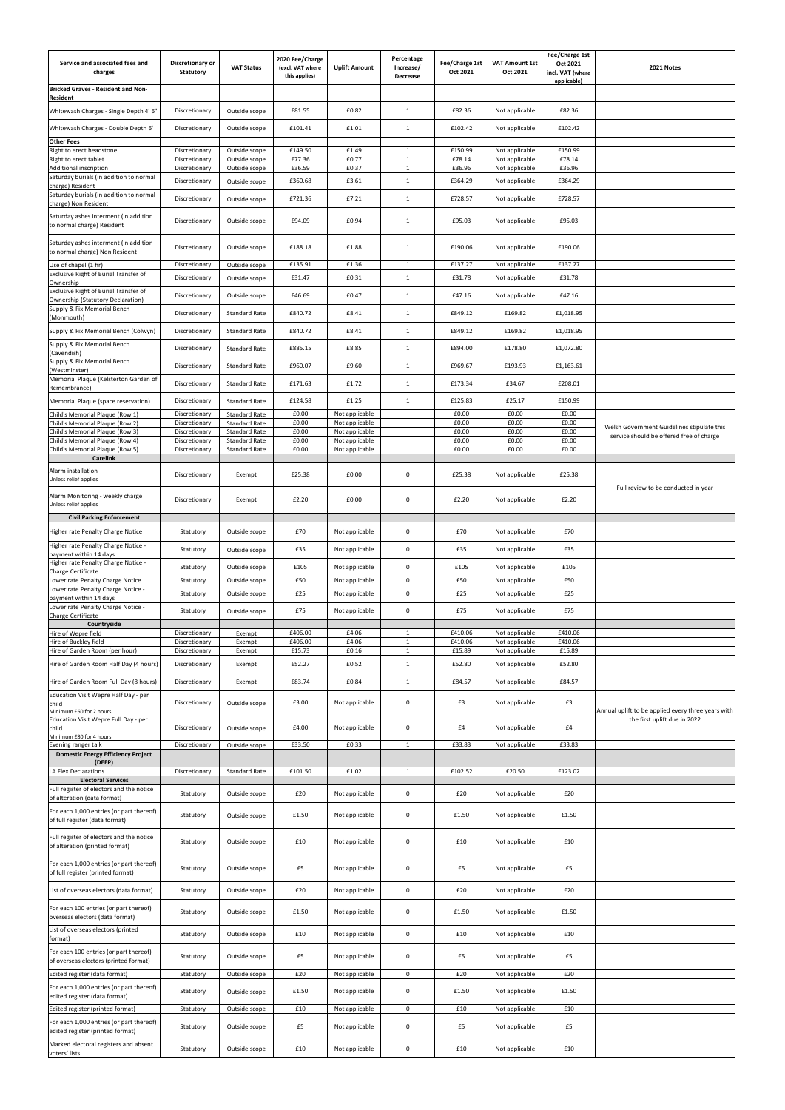| Service and associated fees and<br>charges                                    | Discretionary or<br><b>Statutory</b> | <b>VAT Status</b>                            | 2020 Fee/Charge<br>(excl. VAT where<br>this applies) | <b>Uplift Amount</b>             | Percentage<br>Increase/<br>Decrease | Fee/Charge 1st<br>Oct 2021 | <b>VAT Amount 1st</b><br>Oct 2021 | Fee/Charge 1st<br>Oct 2021<br>incl. VAT (where<br>applicable) | 2021 Notes                                         |
|-------------------------------------------------------------------------------|--------------------------------------|----------------------------------------------|------------------------------------------------------|----------------------------------|-------------------------------------|----------------------------|-----------------------------------|---------------------------------------------------------------|----------------------------------------------------|
| Bricked Graves - Resident and Non-<br>Resident                                |                                      |                                              |                                                      |                                  |                                     |                            |                                   |                                                               |                                                    |
| Whitewash Charges - Single Depth 4' 6"                                        | Discretionary                        | Outside scope                                | £81.55                                               | £0.82                            | $\mathbf{1}$                        | £82.36                     | Not applicable                    | £82.36                                                        |                                                    |
| Whitewash Charges - Double Depth 6'                                           | Discretionary                        | Outside scope                                | £101.41                                              | £1.01                            | 1                                   | £102.42                    | Not applicable                    | £102.42                                                       |                                                    |
| <b>Other Fees</b><br>Right to erect headstone                                 | Discretionary                        | Outside scope                                | £149.50                                              | £1.49                            | $\mathbf{1}$                        | £150.99                    | Not applicable                    | £150.99                                                       |                                                    |
| Right to erect tablet                                                         | Discretionary                        | Outside scope                                | £77.36                                               | £0.77                            | 1                                   | £78.14                     | Not applicable                    | £78.14                                                        |                                                    |
| Additional inscription<br>Saturday burials (in addition to normal             | Discretionary                        | Outside scope                                | £36.59                                               | £0.37                            | $\mathbf{1}$                        | £36.96                     | Not applicable                    | £36.96                                                        |                                                    |
| charge) Resident                                                              | Discretionary                        | Outside scope                                | £360.68                                              | £3.61                            | 1                                   | £364.29                    | Not applicable                    | £364.29                                                       |                                                    |
| Saturday burials (in addition to normal<br>charge) Non Resident               | Discretionary                        | Outside scope                                | £721.36                                              | £7.21                            | $\mathbf{1}$                        | £728.57                    | Not applicable                    | £728.57                                                       |                                                    |
| Saturday ashes interment (in addition<br>to normal charge) Resident           | Discretionary                        | Outside scope                                | £94.09                                               | £0.94                            | 1                                   | £95.03                     | Not applicable                    | £95.03                                                        |                                                    |
| Saturday ashes interment (in addition<br>to normal charge) Non Resident       | Discretionary                        | Outside scope                                | £188.18                                              | £1.88                            | 1                                   | £190.06                    | Not applicable                    | £190.06                                                       |                                                    |
| Use of chapel (1 hr)                                                          | Discretionary                        | Outside scope                                | £135.91                                              | £1.36                            | 1                                   | £137.27                    | Not applicable                    | £137.27                                                       |                                                    |
| Exclusive Right of Burial Transfer of<br>Ownership                            | Discretionary                        | Outside scope                                | £31.47                                               | £0.31                            | $\mathbf{1}$                        | £31.78                     | Not applicable                    | £31.78                                                        |                                                    |
| Exclusive Right of Burial Transfer of<br>Ownership (Statutory Declaration)    | Discretionary                        | Outside scope                                | £46.69                                               | £0.47                            | $\mathbf{1}$                        | £47.16                     | Not applicable                    | £47.16                                                        |                                                    |
| Supply & Fix Memorial Bench                                                   | Discretionary                        | <b>Standard Rate</b>                         | £840.72                                              | £8.41                            | $\mathbf{1}$                        | £849.12                    | £169.82                           | £1,018.95                                                     |                                                    |
| (Monmouth)                                                                    |                                      |                                              |                                                      |                                  |                                     |                            |                                   |                                                               |                                                    |
| Supply & Fix Memorial Bench (Colwyn)<br>Supply & Fix Memorial Bench           | Discretionary                        | Standard Rate                                | £840.72                                              | £8.41                            | $\mathbf{1}$                        | £849.12                    | £169.82                           | £1,018.95                                                     |                                                    |
| (Cavendish)                                                                   | Discretionary                        | <b>Standard Rate</b>                         | £885.15                                              | £8.85                            | 1                                   | £894.00                    | £178.80                           | £1,072.80                                                     |                                                    |
| Supply & Fix Memorial Bench<br>(Westminster)                                  | Discretionary                        | <b>Standard Rate</b>                         | £960.07                                              | £9.60                            | 1                                   | £969.67                    | £193.93                           | £1,163.61                                                     |                                                    |
| Memorial Plaque (Kelsterton Garden of<br>Remembrance)                         | Discretionary                        | <b>Standard Rate</b>                         | £171.63                                              | £1.72                            | 1                                   | £173.34                    | £34.67                            | £208.01                                                       |                                                    |
| Memorial Plaque (space reservation)                                           | Discretionary                        | Standard Rate                                | £124.58                                              | £1.25                            | 1                                   | £125.83                    | £25.17                            | £150.99                                                       |                                                    |
| Child's Memorial Plaque (Row 1)                                               | Discretionary                        | <b>Standard Rate</b>                         | £0.00                                                | Not applicable                   |                                     | £0.00                      | £0.00                             | £0.00                                                         |                                                    |
| Child's Memorial Plaque (Row 2)<br>Child's Memorial Plaque (Row 3)            | Discretionary<br>Discretionary       | <b>Standard Rate</b><br><b>Standard Rate</b> | £0.00<br>£0.00                                       | Not applicable<br>Not applicable |                                     | £0.00<br>£0.00             | £0.00<br>£0.00                    | £0.00<br>£0.00                                                | Welsh Government Guidelines stipulate this         |
| Child's Memorial Plaque (Row 4)                                               | Discretionary                        | <b>Standard Rate</b>                         | £0.00                                                | Not applicable                   |                                     | £0.00                      | £0.00                             | £0.00                                                         | service should be offered free of charge           |
| Child's Memorial Plaque (Row 5)<br><b>Carelink</b>                            | Discretionary                        | <b>Standard Rate</b>                         | £0.00                                                | Not applicable                   |                                     | £0.00                      | £0.00                             | £0.00                                                         |                                                    |
| Alarm installation<br>Unless relief applies                                   | Discretionary                        | Exempt                                       | £25.38                                               | £0.00                            | 0                                   | £25.38                     | Not applicable                    | £25.38                                                        |                                                    |
| Alarm Monitoring - weekly charge<br>Unless relief applies                     | Discretionary                        | Exempt                                       | £2.20                                                | £0.00                            | $\mathbf 0$                         | £2.20                      | Not applicable                    | £2.20                                                         | Full review to be conducted in year                |
| <b>Civil Parking Enforcement</b>                                              |                                      |                                              |                                                      |                                  |                                     |                            |                                   |                                                               |                                                    |
| Higher rate Penalty Charge Notice                                             | Statutory                            | Outside scope                                | £70                                                  | Not applicable                   | $\boldsymbol{0}$                    | £70                        | Not applicable                    | £70                                                           |                                                    |
| Higher rate Penalty Charge Notice -<br>payment within 14 days                 | Statutory                            | Outside scope                                | £35                                                  | Not applicable                   | 0                                   | £35                        | Not applicable                    | £35                                                           |                                                    |
| Higher rate Penalty Charge Notice -                                           | Statutory                            | Outside scope                                | £105                                                 | Not applicable                   | $\mathbf 0$                         | £105                       | Not applicable                    | £105                                                          |                                                    |
| Charge Certificate<br>Lower rate Penalty Charge Notice                        | Statutory                            | Outside scope                                | £50                                                  | Not applicable                   | 0                                   | £50                        | Not applicable                    | £50                                                           |                                                    |
| Lower rate Penalty Charge Notice -                                            | Statutory                            | Outside scope                                | £25                                                  | Not applicable                   | 0                                   | £25                        | Not applicable                    | £25                                                           |                                                    |
| payment within 14 days<br>Lower rate Penalty Charge Notice -                  | Statutory                            | Outside scope                                | £75                                                  | Not applicable                   | $\mathbf 0$                         | £75                        | Not applicable                    | £75                                                           |                                                    |
| <b>Charge Certificate</b><br>Countryside                                      |                                      |                                              |                                                      |                                  |                                     |                            |                                   |                                                               |                                                    |
| Hire of Wepre field                                                           | Discretionary                        | Exempt                                       | £406.00                                              | £4.06                            | 1                                   | £410.06                    | Not applicable                    | £410.06                                                       |                                                    |
| Hire of Buckley field<br>Hire of Garden Room (per hour)                       | Discretionary<br>Discretionary       | Exempt<br>Exempt                             | £406.00<br>£15.73                                    | £4.06<br>£0.16                   | $\mathbf{1}$<br>1                   | £410.06<br>£15.89          | Not applicable<br>Not applicable  | £410.06<br>£15.89                                             |                                                    |
| Hire of Garden Room Half Day (4 hours)                                        | Discretionary                        | Exempt                                       | £52.27                                               | £0.52                            | $\mathbf{1}$                        | £52.80                     | Not applicable                    | £52.80                                                        |                                                    |
| Hire of Garden Room Full Day (8 hours)                                        | Discretionary                        | Exempt                                       | £83.74                                               | £0.84                            | $\mathbf{1}$                        | £84.57                     | Not applicable                    | £84.57                                                        |                                                    |
| Education Visit Wepre Half Day - per<br>child                                 | Discretionary                        | Outside scope                                | £3.00                                                | Not applicable                   | $\boldsymbol{0}$                    | £3                         | Not applicable                    | £3                                                            | Annual uplift to be applied every three years with |
| Minimum £60 for 2 hours<br>Education Visit Wepre Full Day - per<br>child      | Discretionary                        | Outside scope                                | £4.00                                                | Not applicable                   | $\boldsymbol{0}$                    | £4                         | Not applicable                    | £4                                                            | the first uplift due in 2022                       |
| Minimum £80 for 4 hours                                                       |                                      |                                              |                                                      |                                  | $\mathbf{1}$                        |                            |                                   |                                                               |                                                    |
| Evening ranger talk<br><b>Domestic Energy Efficiency Project</b>              | Discretionary                        | Outside scope                                | £33.50                                               | £0.33                            |                                     | £33.83                     | Not applicable                    | £33.83                                                        |                                                    |
| (DEEP)<br>LA Flex Declarations                                                | Discretionary                        | <b>Standard Rate</b>                         | £101.50                                              | £1.02                            | 1                                   | £102.52                    | £20.50                            | £123.02                                                       |                                                    |
| <b>Electoral Services</b>                                                     |                                      |                                              |                                                      |                                  |                                     |                            |                                   |                                                               |                                                    |
| Full register of electors and the notice<br>of alteration (data format)       | Statutory                            | Outside scope                                | £20                                                  | Not applicable                   | 0                                   | £20                        | Not applicable                    | £20                                                           |                                                    |
| For each 1,000 entries (or part thereof)<br>of full register (data format)    | Statutory                            | Outside scope                                | £1.50                                                | Not applicable                   | $\boldsymbol{0}$                    | £1.50                      | Not applicable                    | £1.50                                                         |                                                    |
| Full register of electors and the notice<br>of alteration (printed format)    | Statutory                            | Outside scope                                | £10                                                  | Not applicable                   | 0                                   | £10                        | Not applicable                    | £10                                                           |                                                    |
| For each 1,000 entries (or part thereof)<br>of full register (printed format) | Statutory                            | Outside scope                                | £5                                                   | Not applicable                   | 0                                   | £5                         | Not applicable                    | £5                                                            |                                                    |
| List of overseas electors (data format)                                       | Statutory                            | Outside scope                                | £20                                                  | Not applicable                   | $\mathsf{O}$                        | £20                        | Not applicable                    | £20                                                           |                                                    |
| For each 100 entries (or part thereof)<br>overseas electors (data format)     | Statutory                            | Outside scope                                | £1.50                                                | Not applicable                   | $\mathsf{O}$                        | £1.50                      | Not applicable                    | £1.50                                                         |                                                    |
| List of overseas electors (printed                                            | Statutory                            | Outside scope                                | £10                                                  | Not applicable                   | $\mathsf{O}$                        | £10                        | Not applicable                    | £10                                                           |                                                    |
| format)<br>For each 100 entries (or part thereof)                             |                                      |                                              |                                                      |                                  |                                     |                            |                                   |                                                               |                                                    |
| of overseas electors (printed format)<br>Edited register (data format)        | Statutory<br>Statutory               | Outside scope<br>Outside scope               | £5<br>£20                                            | Not applicable<br>Not applicable | $\mathbf 0$<br>$\mathbf 0$          | £5<br>£20                  | Not applicable<br>Not applicable  | £5<br>£20                                                     |                                                    |
| For each 1,000 entries (or part thereof)                                      |                                      |                                              |                                                      |                                  |                                     |                            |                                   |                                                               |                                                    |
| edited register (data format)<br>Edited register (printed format)             | Statutory<br>Statutory               | Outside scope<br>Outside scope               | £1.50<br>£10                                         | Not applicable<br>Not applicable | $\mathbf 0$<br>$\mathbf 0$          | £1.50<br>£10               | Not applicable<br>Not applicable  | £1.50<br>£10                                                  |                                                    |
| For each 1,000 entries (or part thereof)                                      | Statutory                            | Outside scope                                | £5                                                   | Not applicable                   | 0                                   | £5                         | Not applicable                    | £5                                                            |                                                    |
| edited register (printed format)<br>Marked electoral registers and absent     |                                      |                                              |                                                      |                                  |                                     |                            |                                   |                                                               |                                                    |
| voters' lists                                                                 | Statutory                            | Outside scope                                | £10                                                  | Not applicable                   | 0                                   | £10                        | Not applicable                    | £10                                                           |                                                    |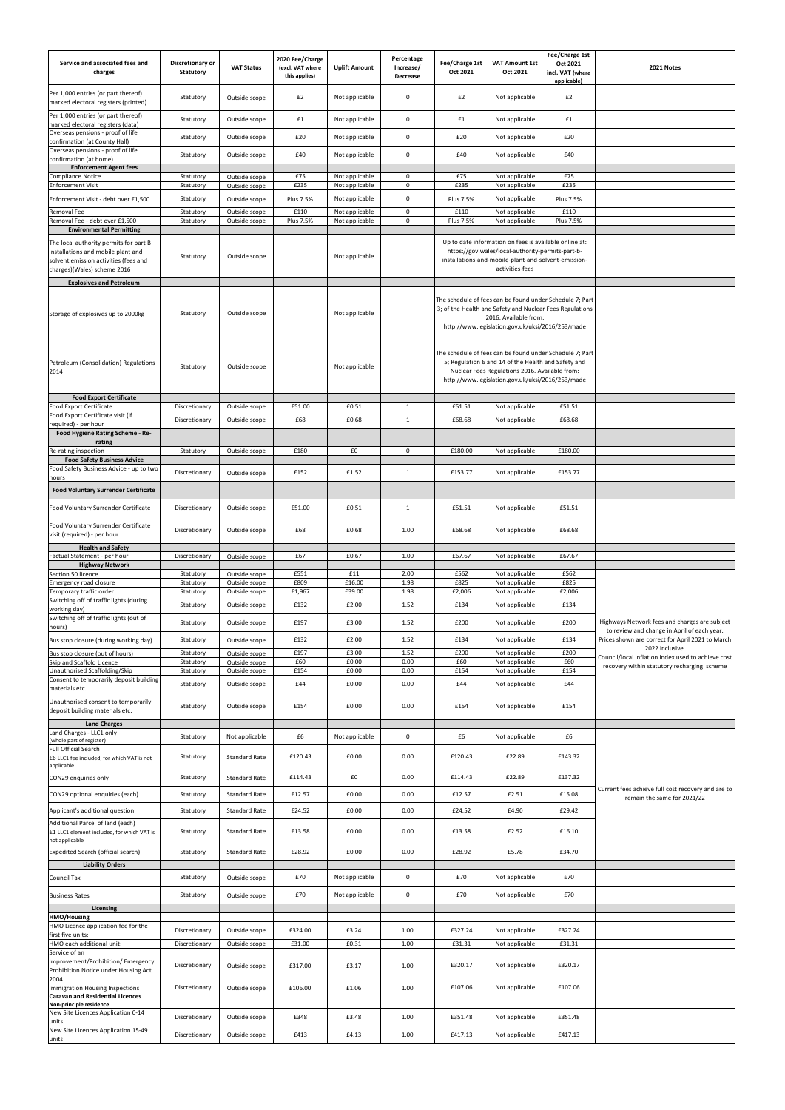| Service and associated fees and<br>charges                                                                                                           | Discretionary or<br><b>Statutory</b> | <b>VAT Status</b>                     | 2020 Fee/Charge<br>(excl. VAT where<br>this applies) | <b>Uplift Amount</b>             | Percentage<br>Increase/<br>Decrease | Fee/Charge 1st<br>Oct 2021 | <b>VAT Amount 1st</b><br>Oct 2021                                                                                                                                                                                     | Fee/Charge 1st<br>Oct 2021<br>incl. VAT (where<br>applicable) | 2021 Notes                                                                                   |
|------------------------------------------------------------------------------------------------------------------------------------------------------|--------------------------------------|---------------------------------------|------------------------------------------------------|----------------------------------|-------------------------------------|----------------------------|-----------------------------------------------------------------------------------------------------------------------------------------------------------------------------------------------------------------------|---------------------------------------------------------------|----------------------------------------------------------------------------------------------|
| Per 1,000 entries (or part thereof)<br>marked electoral registers (printed)                                                                          | Statutory                            | Outside scope                         | £2                                                   | Not applicable                   | $\boldsymbol{0}$                    | £2                         | Not applicable                                                                                                                                                                                                        | £2                                                            |                                                                                              |
| Per 1,000 entries (or part thereof)<br>marked electoral registers (data)                                                                             | Statutory                            | Outside scope                         | £1                                                   | Not applicable                   | $\mathbf 0$                         | £1                         | Not applicable                                                                                                                                                                                                        | £1                                                            |                                                                                              |
| Overseas pensions - proof of life<br>confirmation (at County Hall)                                                                                   | Statutory                            | Outside scope                         | £20                                                  | Not applicable                   | 0                                   | £20                        | Not applicable                                                                                                                                                                                                        | £20                                                           |                                                                                              |
| Overseas pensions - proof of life                                                                                                                    | Statutory                            | Outside scope                         | £40                                                  | Not applicable                   | $\boldsymbol{0}$                    | £40                        | Not applicable                                                                                                                                                                                                        | £40                                                           |                                                                                              |
| confirmation (at home)<br><b>Enforcement Agent fees</b>                                                                                              |                                      |                                       |                                                      |                                  |                                     |                            |                                                                                                                                                                                                                       |                                                               |                                                                                              |
| <b>Compliance Notice</b><br><b>Enforcement Visit</b>                                                                                                 | Statutory<br>Statutory               | Outside scope<br>Outside scope        | £75<br>£235                                          | Not applicable<br>Not applicable | 0<br>0                              | £75<br>£235                | Not applicable<br>Not applicable                                                                                                                                                                                      | £75<br>£235                                                   |                                                                                              |
| Enforcement Visit - debt over £1,500                                                                                                                 | Statutory                            | Outside scope                         | Plus 7.5%                                            | Not applicable                   | 0                                   | Plus 7.5%                  | Not applicable                                                                                                                                                                                                        | Plus 7.5%                                                     |                                                                                              |
| Removal Fee                                                                                                                                          | Statutory                            | Outside scope                         | £110                                                 | Not applicable                   | $\mathbf 0$                         | £110                       | Not applicable                                                                                                                                                                                                        | £110                                                          |                                                                                              |
| Removal Fee - debt over £1,500<br><b>Environmental Permitting</b>                                                                                    | Statutory                            | Outside scope                         | Plus 7.5%                                            | Not applicable                   | $\mathbf 0$                         | Plus 7.5%                  | Not applicable                                                                                                                                                                                                        | Plus 7.5%                                                     |                                                                                              |
| The local authority permits for part B<br>installations and mobile plant and<br>solvent emission activities (fees and<br>charges)(Wales) scheme 2016 | Statutory                            | Outside scope                         |                                                      | Not applicable                   |                                     |                            | Up to date information on fees is available online at:<br>https://gov.wales/local-authority-permits-part-b-<br>installations-and-mobile-plant-and-solvent-emission-<br>activities-fees                                |                                                               |                                                                                              |
| <b>Explosives and Petroleum</b>                                                                                                                      |                                      |                                       |                                                      |                                  |                                     |                            |                                                                                                                                                                                                                       |                                                               |                                                                                              |
| Storage of explosives up to 2000kg                                                                                                                   | Statutory                            | Outside scope                         |                                                      | Not applicable                   |                                     |                            | The schedule of fees can be found under Schedule 7; Part<br>3; of the Health and Safety and Nuclear Fees Regulations<br>2016. Available from:<br>http://www.legislation.gov.uk/uksi/2016/253/made                     |                                                               |                                                                                              |
| Petroleum (Consolidation) Regulations<br>2014                                                                                                        | Statutory                            | Outside scope                         |                                                      | Not applicable                   |                                     |                            | The schedule of fees can be found under Schedule 7; Part<br>5; Regulation 6 and 14 of the Health and Safety and<br>Nuclear Fees Regulations 2016. Available from:<br>http://www.legislation.gov.uk/uksi/2016/253/made |                                                               |                                                                                              |
| <b>Food Export Certificate</b><br>Food Export Certificate                                                                                            | Discretionary                        | Outside scope                         | £51.00                                               | £0.51                            | $\mathbf{1}$                        | £51.51                     | Not applicable                                                                                                                                                                                                        | £51.51                                                        |                                                                                              |
| Food Export Certificate visit (if<br>required) - per hour                                                                                            | Discretionary                        | Outside scope                         | £68                                                  | £0.68                            | $\mathbf{1}$                        | £68.68                     | Not applicable                                                                                                                                                                                                        | £68.68                                                        |                                                                                              |
| Food Hygiene Rating Scheme - Re-<br>rating                                                                                                           |                                      |                                       |                                                      |                                  |                                     |                            |                                                                                                                                                                                                                       |                                                               |                                                                                              |
| Re-rating inspection                                                                                                                                 | Statutory                            | Outside scope                         | £180                                                 | £0                               | $\mathbf 0$                         | £180.00                    | Not applicable                                                                                                                                                                                                        | £180.00                                                       |                                                                                              |
| <b>Food Safety Business Advice</b><br>Food Safety Business Advice - up to two                                                                        | Discretionary                        | Outside scope                         | £152                                                 | £1.52                            | $\mathbf{1}$                        | £153.77                    | Not applicable                                                                                                                                                                                                        | £153.77                                                       |                                                                                              |
| hours                                                                                                                                                |                                      |                                       |                                                      |                                  |                                     |                            |                                                                                                                                                                                                                       |                                                               |                                                                                              |
| <b>Food Voluntary Surrender Certificate</b>                                                                                                          |                                      |                                       |                                                      |                                  |                                     |                            |                                                                                                                                                                                                                       |                                                               |                                                                                              |
| Food Voluntary Surrender Certificate                                                                                                                 | Discretionary                        | Outside scope                         | £51.00                                               | £0.51                            | $\mathbf{1}$                        | £51.51                     | Not applicable                                                                                                                                                                                                        | £51.51                                                        |                                                                                              |
| Food Voluntary Surrender Certificate<br>visit (required) - per hour                                                                                  | Discretionary                        | Outside scope                         | £68                                                  | £0.68                            | 1.00                                | £68.68                     | Not applicable                                                                                                                                                                                                        | £68.68                                                        |                                                                                              |
| <b>Health and Safety</b><br>Factual Statement - per hour                                                                                             | Discretionary                        | Outside scope                         | £67                                                  | £0.67                            | 1.00                                | £67.67                     | Not applicable                                                                                                                                                                                                        | £67.67                                                        |                                                                                              |
| <b>Highway Network</b><br>Section 50 licence                                                                                                         | Statutory                            | Outside scope                         | £551                                                 | £11                              | 2.00                                | £562                       | Not applicable                                                                                                                                                                                                        | £562                                                          |                                                                                              |
| Emergency road closure<br>Temporary traffic order                                                                                                    | Statutory<br>Statutory               | Outside scope<br>Outside scope        | £809<br>£1,967                                       | £16.00<br>£39.00                 | 1.98<br>1.98                        | £825<br>£2,006             | Not applicable<br>Not applicable                                                                                                                                                                                      | £825<br>£2,006                                                |                                                                                              |
| Switching off of traffic lights (during                                                                                                              | Statutory                            | Outside scope                         | £132                                                 | £2.00                            | 1.52                                | £134                       | Not applicable                                                                                                                                                                                                        | £134                                                          |                                                                                              |
| working day)<br>Switching off of traffic lights (out of<br>hours)                                                                                    | Statutory                            | Outside scope                         | £197                                                 | £3.00                            | 1.52                                | £200                       | Not applicable                                                                                                                                                                                                        | £200                                                          | Highways Network fees and charges are subject<br>to review and change in April of each year. |
| Bus stop closure (during working day)                                                                                                                | Statutory                            | Outside scope                         | £132                                                 | £2.00                            | 1.52                                | £134                       | Not applicable                                                                                                                                                                                                        | £134                                                          | Prices shown are correct for April 2021 to March                                             |
| Bus stop closure (out of hours)<br>Skip and Scaffold Licence                                                                                         | Statutory<br>Statutory               | Outside scope<br>Outside scope        | £197<br>£60                                          | £3.00<br>£0.00                   | 1.52<br>0.00                        | £200<br>£60                | Not applicable<br>Not applicable                                                                                                                                                                                      | £200<br>£60                                                   | 2022 inclusive.<br>Council/local inflation index used to achieve cost                        |
| Unauthorised Scaffolding/Skip                                                                                                                        | Statutory                            | Outside scope                         | £154                                                 | £0.00                            | 0.00                                | £154                       | Not applicable                                                                                                                                                                                                        | £154                                                          | recovery within statutory recharging scheme                                                  |
| Consent to temporarily deposit building<br>materials etc.                                                                                            | Statutory                            | Outside scope                         | £44                                                  | £0.00                            | 0.00                                | £44                        | Not applicable                                                                                                                                                                                                        | £44                                                           |                                                                                              |
| Unauthorised consent to temporarily<br>deposit building materials etc.                                                                               | Statutory                            | Outside scope                         | £154                                                 | £0.00                            | 0.00                                | £154                       | Not applicable                                                                                                                                                                                                        | £154                                                          |                                                                                              |
| <b>Land Charges</b><br>Land Charges - LLC1 only                                                                                                      |                                      |                                       |                                                      |                                  |                                     |                            |                                                                                                                                                                                                                       |                                                               |                                                                                              |
| (whole part of register)<br><b>Full Official Search</b><br>£6 LLC1 fee included, for which VAT is not                                                | Statutory<br>Statutory               | Not applicable<br>Standard Rate       | £6<br>£120.43                                        | Not applicable<br>£0.00          | $\boldsymbol{0}$<br>0.00            | £6<br>£120.43              | Not applicable<br>£22.89                                                                                                                                                                                              | £6<br>£143.32                                                 |                                                                                              |
| applicable                                                                                                                                           |                                      |                                       |                                                      |                                  |                                     |                            |                                                                                                                                                                                                                       |                                                               |                                                                                              |
| CON29 enquiries only                                                                                                                                 | Statutory                            | Standard Rate                         | £114.43                                              | £0                               | 0.00                                | £114.43                    | £22.89                                                                                                                                                                                                                | £137.32                                                       | Current fees achieve full cost recovery and are to                                           |
| CON29 optional enquiries (each)                                                                                                                      | Statutory                            | Standard Rate                         | £12.57                                               | £0.00                            | 0.00                                | £12.57                     | £2.51                                                                                                                                                                                                                 | £15.08                                                        | remain the same for 2021/22                                                                  |
| Applicant's additional question<br>Additional Parcel of land (each)<br>£1 LLC1 element included, for which VAT is                                    | Statutory<br>Statutory               | <b>Standard Rate</b><br>Standard Rate | £24.52<br>£13.58                                     | £0.00<br>£0.00                   | 0.00<br>0.00                        | £24.52<br>£13.58           | £4.90<br>£2.52                                                                                                                                                                                                        | £29.42<br>£16.10                                              |                                                                                              |
| not applicable<br>Expedited Search (official search)                                                                                                 | Statutory                            | <b>Standard Rate</b>                  | £28.92                                               | £0.00                            | 0.00                                | £28.92                     | £5.78                                                                                                                                                                                                                 | £34.70                                                        |                                                                                              |
| <b>Liability Orders</b>                                                                                                                              |                                      |                                       |                                                      |                                  |                                     |                            |                                                                                                                                                                                                                       |                                                               |                                                                                              |
| Council Tax                                                                                                                                          | Statutory                            | Outside scope                         | £70                                                  | Not applicable                   | 0                                   | £70                        | Not applicable                                                                                                                                                                                                        | £70                                                           |                                                                                              |
| <b>Business Rates</b>                                                                                                                                | Statutory                            | Outside scope                         | £70                                                  | Not applicable                   | 0                                   | £70                        | Not applicable                                                                                                                                                                                                        | £70                                                           |                                                                                              |
| Licensing<br>HMO/Housing                                                                                                                             |                                      |                                       |                                                      |                                  |                                     |                            |                                                                                                                                                                                                                       |                                                               |                                                                                              |
| HMO Licence application fee for the                                                                                                                  | Discretionary                        | Outside scope                         | £324.00                                              | £3.24                            | 1.00                                | £327.24                    | Not applicable                                                                                                                                                                                                        | £327.24                                                       |                                                                                              |
| first five units:<br>HMO each additional unit:                                                                                                       | Discretionary                        | Outside scope                         | £31.00                                               | £0.31                            | 1.00                                | £31.31                     | Not applicable                                                                                                                                                                                                        | £31.31                                                        |                                                                                              |
| Service of an<br>Improvement/Prohibition/ Emergency<br>Prohibition Notice under Housing Act                                                          | Discretionary                        | Outside scope                         | £317.00                                              | £3.17                            | 1.00                                | £320.17                    | Not applicable                                                                                                                                                                                                        | £320.17                                                       |                                                                                              |
| 2004<br>Immigration Housing Inspections                                                                                                              | Discretionary                        | Outside scope                         | £106.00                                              | $\pmb{\text{f1.06}}$             | 1.00                                | £107.06                    | Not applicable                                                                                                                                                                                                        | £107.06                                                       |                                                                                              |
| <b>Caravan and Residential Licences</b><br>Non-principle residence                                                                                   |                                      |                                       |                                                      |                                  |                                     |                            |                                                                                                                                                                                                                       |                                                               |                                                                                              |
| New Site Licences Application 0-14<br>units                                                                                                          | Discretionary                        | Outside scope                         | £348                                                 | £3.48                            | 1.00                                | £351.48                    | Not applicable                                                                                                                                                                                                        | £351.48                                                       |                                                                                              |
| New Site Licences Application 15-49<br>units                                                                                                         | Discretionary                        | Outside scope                         | £413                                                 | £4.13                            | 1.00                                | £417.13                    | Not applicable                                                                                                                                                                                                        | £417.13                                                       |                                                                                              |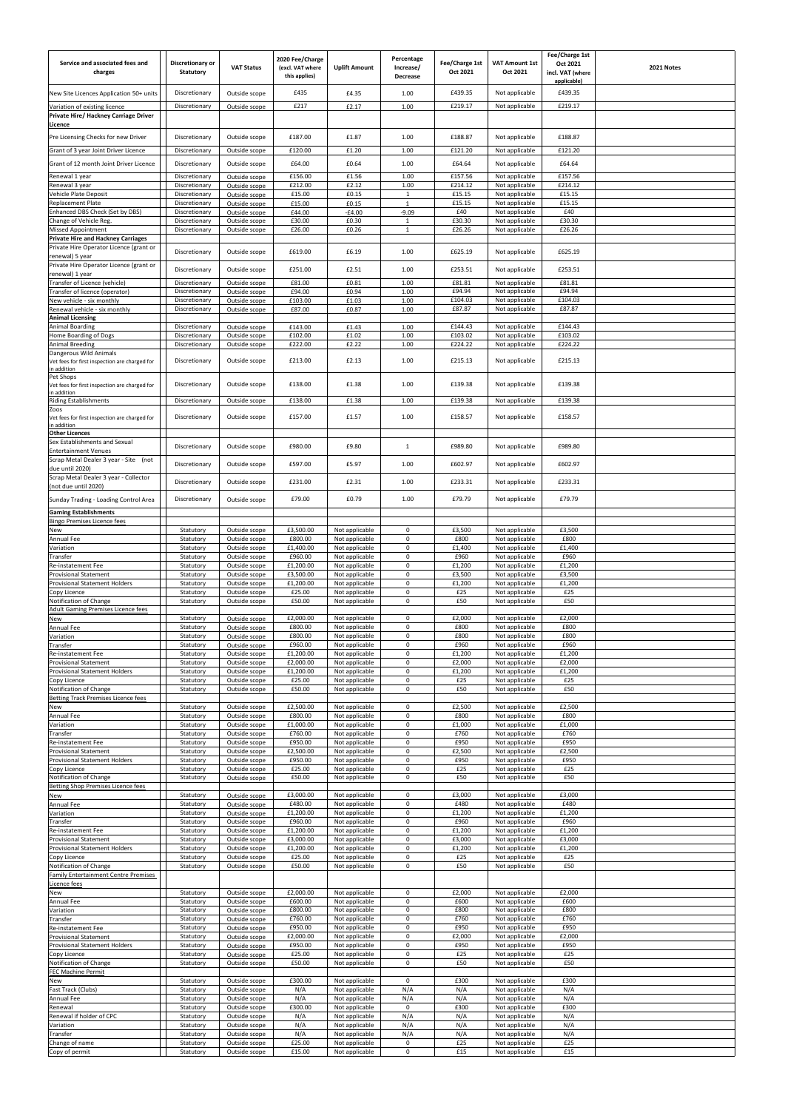| Service and associated fees and<br>charges                                        | Discretionary or<br>Statutory  | <b>VAT Status</b>              | 2020 Fee/Charge<br>(excl. VAT where<br>this applies) | <b>Uplift Amount</b>             | Percentage<br>Increase/<br>Decrease | Fee/Charge 1st<br>Oct 2021 | <b>VAT Amount 1st</b><br>Oct 2021 | Fee/Charge 1st<br>Oct 2021<br>incl. VAT (where<br>applicable) | 2021 Notes |
|-----------------------------------------------------------------------------------|--------------------------------|--------------------------------|------------------------------------------------------|----------------------------------|-------------------------------------|----------------------------|-----------------------------------|---------------------------------------------------------------|------------|
| New Site Licences Application 50+ units                                           | Discretionary                  | Outside scope                  | £435                                                 | £4.35                            | 1.00                                | £439.35                    | Not applicable                    | £439.35                                                       |            |
| Variation of existing licence<br>Private Hire/ Hackney Carriage Driver<br>Licence | Discretionary                  | Outside scope                  | £217                                                 | £2.17                            | 1.00                                | £219.17                    | Not applicable                    | £219.17                                                       |            |
| Pre Licensing Checks for new Driver<br>Grant of 3 year Joint Driver Licence       | Discretionary<br>Discretionary | Outside scope<br>Outside scope | £187.00<br>£120.00                                   | £1.87<br>£1.20                   | 1.00<br>1.00                        | £188.87<br>£121.20         | Not applicable<br>Not applicable  | £188.87<br>£121.20                                            |            |
| Grant of 12 month Joint Driver Licence                                            | Discretionary                  | Outside scope                  | £64.00                                               | £0.64                            | 1.00                                | £64.64                     | Not applicable                    | £64.64                                                        |            |
| Renewal 1 year                                                                    | Discretionary                  | Outside scope                  | £156.00                                              | £1.56                            | 1.00                                | £157.56                    | Not applicable                    | £157.56                                                       |            |
| Renewal 3 year<br>Vehicle Plate Deposit                                           | Discretionary<br>Discretionary | Outside scope<br>Outside scope | £212.00<br>£15.00                                    | £2.12<br>£0.15                   | 1.00<br>$\mathbf{1}$                | £214.12<br>£15.15          | Not applicable<br>Not applicable  | £214.12<br>£15.15                                             |            |
| Replacement Plate                                                                 | Discretionary                  | Outside scope                  | £15.00                                               | £0.15                            | $\mathbf{1}$                        | £15.15                     | Not applicable                    | £15.15                                                        |            |
| Enhanced DBS Check (Set by DBS)<br>Change of Vehicle Reg.                         | Discretionary<br>Discretionary | Outside scope<br>Outside scope | £44.00<br>£30.00                                     | $-£4.00$<br>£0.30                | $-9.09$<br>$\mathbf{1}$             | £40<br>£30.30              | Not applicable<br>Not applicable  | £40<br>£30.30                                                 |            |
| <b>Missed Appointment</b><br><b>Private Hire and Hackney Carriages</b>            | Discretionary                  | Outside scope                  | £26.00                                               | £0.26                            | $\mathbf{1}$                        | £26.26                     | Not applicable                    | £26.26                                                        |            |
| Private Hire Operator Licence (grant or                                           | Discretionary                  | Outside scope                  | £619.00                                              | £6.19                            | 1.00                                | £625.19                    | Not applicable                    | £625.19                                                       |            |
| renewal) 5 year<br>Private Hire Operator Licence (grant or                        | Discretionary                  |                                | £251.00                                              | £2.51                            | 1.00                                | £253.51                    | Not applicable                    | £253.51                                                       |            |
| enewal) 1 year<br>Transfer of Licence (vehicle)                                   | Discretionary                  | Outside scope<br>Outside scope | £81.00                                               | £0.81                            | 1.00                                | £81.81                     | Not applicable                    | £81.81                                                        |            |
| Transfer of licence (operator)                                                    | Discretionary                  | Outside scope                  | £94.00                                               | £0.94                            | 1.00                                | £94.94                     | Not applicable                    | £94.94                                                        |            |
| New vehicle - six monthly<br>Renewal vehicle - six monthly                        | Discretionary<br>Discretionary | Outside scope<br>Outside scope | £103.00<br>£87.00                                    | £1.03<br>£0.87                   | 1.00<br>1.00                        | £104.03<br>£87.87          | Not applicable<br>Not applicable  | £104.03<br>£87.87                                             |            |
| <b>Animal Licensing</b><br>Animal Boarding                                        | Discretionary                  | Outside scope                  | £143.00                                              | £1.43                            | 1.00                                | £144.43                    | Not applicable                    | £144.43                                                       |            |
| Home Boarding of Dogs                                                             | Discretionary                  | Outside scope                  | £102.00                                              | £1.02                            | 1.00                                | £103.02                    | Not applicable                    | £103.02                                                       |            |
| <b>Animal Breeding</b><br>Dangerous Wild Animals                                  | Discretionary                  | Outside scope                  | £222.00                                              | £2.22                            | 1.00                                | £224.22                    | Not applicable                    | £224.22                                                       |            |
| Vet fees for first inspection are charged for<br>n addition<br>Pet Shops          | Discretionary                  | Outside scope                  | £213.00                                              | £2.13                            | 1.00                                | £215.13                    | Not applicable                    | £215.13                                                       |            |
| Vet fees for first inspection are charged for<br>n addition                       | Discretionary                  | Outside scope                  | £138.00                                              | £1.38                            | 1.00                                | £139.38                    | Not applicable                    | £139.38                                                       |            |
| Riding Establishments<br>Zoos<br>Vet fees for first inspection are charged for    | Discretionary<br>Discretionary | Outside scope<br>Outside scope | £138.00<br>£157.00                                   | £1.38<br>£1.57                   | 1.00<br>1.00                        | £139.38<br>£158.57         | Not applicable<br>Not applicable  | £139.38<br>£158.57                                            |            |
| n addition<br><b>Other Licences</b>                                               |                                |                                |                                                      |                                  |                                     |                            |                                   |                                                               |            |
| Sex Establishments and Sexual                                                     | Discretionary                  | Outside scope                  | £980.00                                              | £9.80                            | 1                                   | £989.80                    | Not applicable                    | £989.80                                                       |            |
| <b>Entertainment Venues</b><br>Scrap Metal Dealer 3 year - Site (not              | Discretionary                  | Outside scope                  | £597.00                                              | £5.97                            | $1.00\,$                            | £602.97                    | Not applicable                    | £602.97                                                       |            |
| due until 2020)<br>Scrap Metal Dealer 3 year - Collector                          |                                |                                |                                                      |                                  |                                     |                            |                                   |                                                               |            |
| (not due until 2020)                                                              | Discretionary                  | Outside scope                  | £231.00                                              | £2.31                            | 1.00                                | £233.31                    | Not applicable                    | £233.31                                                       |            |
| Sunday Trading - Loading Control Area                                             | Discretionary                  | Outside scope                  | £79.00                                               | £0.79                            | 1.00                                | £79.79                     | Not applicable                    | £79.79                                                        |            |
| <b>Gaming Establishments</b><br><b>Bingo Premises Licence fees</b>                |                                |                                |                                                      |                                  |                                     |                            |                                   |                                                               |            |
| New                                                                               | Statutory<br>Statutory         | Outside scope                  | £3,500.00<br>£800.00                                 | Not applicable                   | $\mathbf 0$<br>$\mathbf 0$          | £3,500<br>£800             | Not applicable<br>Not applicable  | £3,500<br>£800                                                |            |
| Annual Fee<br>Variation                                                           | Statutory                      | Outside scope<br>Outside scope | £1,400.00                                            | Not applicable<br>Not applicable | $\mathbf 0$                         | £1,400                     | Not applicable                    | £1,400                                                        |            |
| Transfer<br>Re-instatement Fee                                                    | Statutory<br>Statutory         | Outside scope<br>Outside scope | £960.00<br>£1,200.00                                 | Not applicable<br>Not applicable | $\mathbf 0$<br>0                    | £960<br>£1,200             | Not applicable<br>Not applicable  | £960<br>£1,200                                                |            |
| <b>Provisional Statement</b><br><b>Provisional Statement Holders</b>              | Statutory<br>Statutory         | Outside scope<br>Outside scope | £3,500.00<br>f1,200.00                               | Not applicable<br>Not applicable | $\mathbf 0$<br>$\mathbf 0$          | £3,500<br>£1,200           | Not applicable<br>Not applicable  | £3,500<br>£1,200                                              |            |
| Copy Licence                                                                      | Statutory                      | Outside scope                  | £25.00                                               | Not applicable                   | $\pmb{0}$                           | £25                        | Not applicable                    | £25                                                           |            |
| Notification of Change<br><b>Adult Gaming Premises Licence fees</b>               | Statutory                      | Outside scope                  | £50.00                                               | Not applicable                   | $\mathbf 0$                         | £50                        | Not applicable                    | £50                                                           |            |
| New<br>Annual Fee                                                                 | Statutory<br>Statutory         | Outside scope<br>Outside scope | £2,000.00<br>£800.00                                 | Not applicable<br>Not applicable | 0<br>$\mathbf 0$                    | £2,000<br>£800             | Not applicable<br>Not applicable  | £2,000<br>£800                                                |            |
| /ariation                                                                         | Statutory                      | Outside scope                  | £800.00                                              | Not applicable                   | $\mathbf 0$                         | £800                       | Not applicable                    | £800                                                          |            |
| Transfer<br>Re-instatement Fee                                                    | Statutory<br>Statutory         | Outside scope<br>Outside scope | £960.00<br>£1,200.00                                 | Not applicable<br>Not applicable | $\mathbf 0$<br>$\mathsf 0$          | £960<br>£1,200             | Not applicable<br>Not applicable  | £960<br>£1,200                                                |            |
| <b>Provisional Statement</b><br>Provisional Statement Holders                     | Statutory<br>Statutory         | Outside scope<br>Outside scope | £2,000.00<br>£1,200.00                               | Not applicable<br>Not applicable | $\mathbf 0$<br>0                    | £2,000<br>£1,200           | Not applicable<br>Not applicable  | £2,000<br>£1,200                                              |            |
| Copy Licence                                                                      | Statutory                      | Outside scope                  | £25.00                                               | Not applicable                   | $\mathbf 0$<br>$\mathbf 0$          | £25                        | Not applicable                    | £25                                                           |            |
| Notification of Change<br><b>Betting Track Premises Licence fees</b>              | Statutory                      | Outside scope                  | £50.00                                               | Not applicable                   |                                     | £50                        | Not applicable                    | £50                                                           |            |
| New<br>Annual Fee                                                                 | Statutory<br>Statutory         | Outside scope<br>Outside scope | £2,500.00<br>£800.00                                 | Not applicable<br>Not applicable | $\mathbf 0$<br>$\mathbf 0$          | £2,500<br>£800             | Not applicable<br>Not applicable  | £2,500<br>£800                                                |            |
| /ariation                                                                         | Statutory                      | Outside scope                  | £1,000.00<br>£760.00                                 | Not applicable                   | 0<br>$\pmb{0}$                      | £1,000<br>£760             | Not applicable                    | £1,000<br>£760                                                |            |
| Transfer<br>Re-instatement Fee                                                    | Statutory<br>Statutory         | Outside scope<br>Outside scope | £950.00                                              | Not applicable<br>Not applicable | $\mathbf 0$                         | £950                       | Not applicable<br>Not applicable  | £950                                                          |            |
| <b>Provisional Statement</b><br><b>Provisional Statement Holders</b>              | Statutory<br>Statutory         | Outside scope<br>Outside scope | £2,500.00<br>£950.00                                 | Not applicable<br>Not applicable | $\mathbf 0$<br>$\mathbf 0$          | £2,500<br>£950             | Not applicable<br>Not applicable  | £2,500<br>£950                                                |            |
| Copy Licence                                                                      | Statutory                      | Outside scope                  | £25.00                                               | Not applicable                   | $\mathbf 0$<br>$\mathbf 0$          | £25<br>£50                 | Not applicable                    | £25<br>£50                                                    |            |
| Notification of Change<br>Betting Shop Premises Licence fees                      | Statutory                      | Outside scope                  | £50.00                                               | Not applicable                   |                                     |                            | Not applicable                    |                                                               |            |
| New<br>Annual Fee                                                                 | Statutory<br>Statutory         | Outside scope<br>Outside scope | £3,000.00<br>£480.00                                 | Not applicable<br>Not applicable | 0<br>$\mathbf 0$                    | £3,000<br>£480             | Not applicable<br>Not applicable  | £3,000<br>£480                                                |            |
| Variation<br>Transfer                                                             | Statutory<br>Statutory         | Outside scope<br>Outside scope | £1,200.00<br>£960.00                                 | Not applicable<br>Not applicable | $\mathbf 0$<br>$\pmb{0}$            | £1,200<br>£960             | Not applicable<br>Not applicable  | £1,200<br>£960                                                |            |
| Re-instatement Fee                                                                | Statutory                      | Outside scope                  | £1,200.00                                            | Not applicable                   | 0                                   | £1,200                     | Not applicable                    | £1,200                                                        |            |
| Provisional Statement<br>Provisional Statement Holders                            | Statutory<br>Statutory         | Outside scope<br>Outside scope | £3,000.00<br>£1,200.00                               | Not applicable<br>Not applicable | 0<br>0                              | £3,000<br>£1,200           | Not applicable<br>Not applicable  | £3,000<br>£1,200                                              |            |
| Copy Licence<br>Notification of Change                                            | Statutory<br>Statutory         | Outside scope<br>Outside scope | £25.00<br>£50.00                                     | Not applicable<br>Not applicable | $\mathbf 0$<br>$\mathbf 0$          | £25<br>£50                 | Not applicable<br>Not applicable  | £25<br>£50                                                    |            |
| <b>Family Entertainment Centre Premises</b><br>Licence fees                       |                                |                                |                                                      |                                  |                                     |                            |                                   |                                                               |            |
| New<br>Annual Fee                                                                 | Statutory<br>Statutory         | Outside scope<br>Outside scope | £2,000.00<br>£600.00                                 | Not applicable<br>Not applicable | $\mathbf 0$<br>$\mathbf 0$          | £2,000<br>£600             | Not applicable<br>Not applicable  | £2,000<br>£600                                                |            |
| Variation<br>Transfer                                                             | Statutory<br>Statutory         | Outside scope<br>Outside scope | £800.00<br>£760.00                                   | Not applicable<br>Not applicable | $\pmb{0}$<br>$\mathbf 0$            | £800<br>£760               | Not applicable<br>Not applicable  | £800<br>£760                                                  |            |
| Re-instatement Fee                                                                | Statutory                      | Outside scope                  | £950.00                                              | Not applicable                   | $\pmb{0}$                           | £950                       | Not applicable                    | £950                                                          |            |
| <b>Provisional Statement</b><br>Provisional Statement Holders                     | Statutory<br>Statutory         | Outside scope<br>Outside scope | £2,000.00<br>£950.00                                 | Not applicable<br>Not applicable | $\mathbf 0$<br>$\mathbf 0$          | £2,000<br>£950             | Not applicable<br>Not applicable  | £2,000<br>£950                                                |            |
| Copy Licence<br>Notification of Change                                            | Statutory<br>Statutory         | Outside scope<br>Outside scope | £25.00<br>£50.00                                     | Not applicable<br>Not applicable | 0<br>$\pmb{0}$                      | £25<br>£50                 | Not applicable<br>Not applicable  | £25<br>£50                                                    |            |
| FEC Machine Permit                                                                |                                |                                |                                                      |                                  |                                     |                            |                                   |                                                               |            |
| New<br>Fast Track (Clubs)                                                         | Statutory<br>Statutory         | Outside scope<br>Outside scope | £300.00<br>N/A                                       | Not applicable<br>Not applicable | $\mathbf 0$<br>N/A                  | £300<br>N/A                | Not applicable<br>Not applicable  | £300<br>N/A                                                   |            |
| Annual Fee<br>Renewal                                                             | Statutory<br>Statutory         | Outside scope<br>Outside scope | N/A<br>£300.00                                       | Not applicable<br>Not applicable | N/A<br>$\mathbf 0$                  | N/A<br>£300                | Not applicable<br>Not applicable  | N/A<br>£300                                                   |            |
| Renewal if holder of CPC                                                          | Statutory                      | Outside scope                  | N/A                                                  | Not applicable                   | N/A<br>N/A                          | N/A                        | Not applicable                    | N/A                                                           |            |
| Variation<br>Transfer                                                             | Statutory<br>Statutory         | Outside scope<br>Outside scope | N/A<br>N/A                                           | Not applicable<br>Not applicable | N/A                                 | N/A<br>N/A                 | Not applicable<br>Not applicable  | N/A<br>N/A                                                    |            |
| Change of name<br>Copy of permit                                                  | Statutory<br>Statutory         | Outside scope<br>Outside scope | £25.00<br>£15.00                                     | Not applicable<br>Not applicable | $\mathbf 0$<br>$\mathbf 0$          | £25<br>£15                 | Not applicable<br>Not applicable  | £25<br>£15                                                    |            |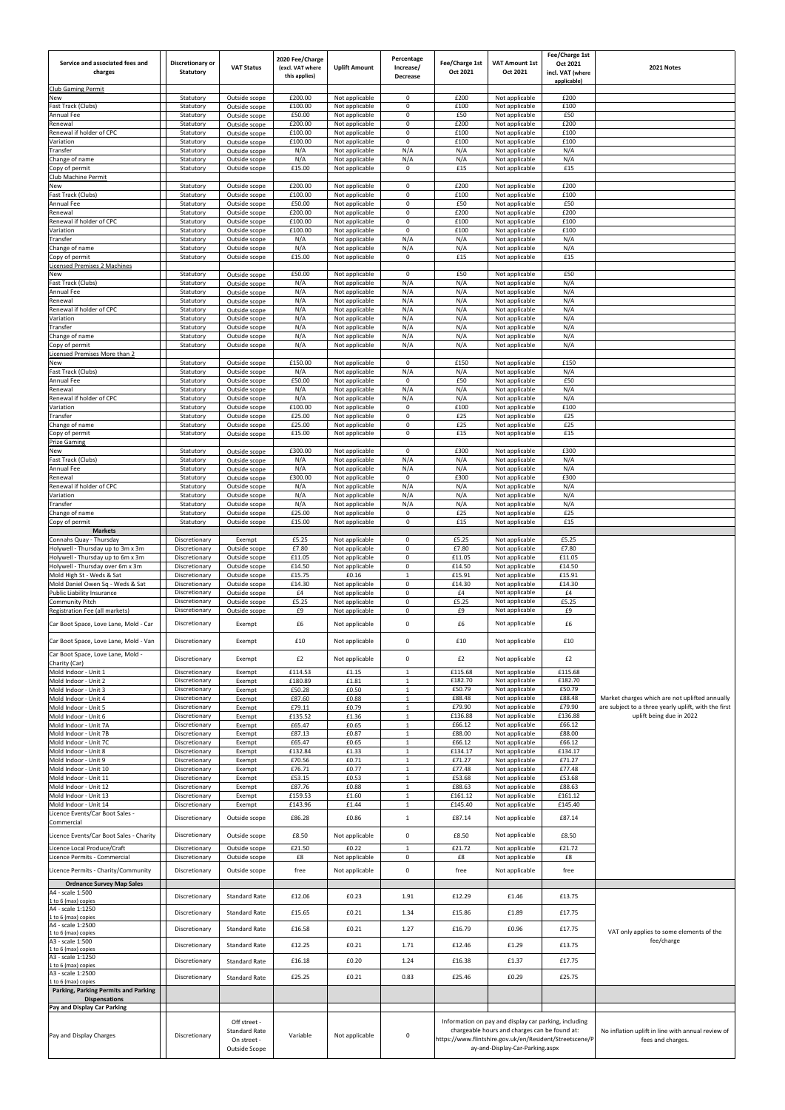| Service and associated fees and<br>charges<br><b>Club Gaming Permit</b> | Discretionary or<br><b>Statutory</b> | <b>VAT Status</b>                                   | 2020 Fee/Charge<br>(excl. VAT where<br>this applies) | <b>Uplift Amount</b>             | Percentage<br>Increase/<br>Decrease | Fee/Charge 1st<br>Oct 2021 | <b>VAT Amount 1st</b><br>Oct 2021                                                                      | Fee/Charge 1st<br>Oct 2021<br>incl. VAT (where<br>applicable) | 2021 Notes                                                                       |
|-------------------------------------------------------------------------|--------------------------------------|-----------------------------------------------------|------------------------------------------------------|----------------------------------|-------------------------------------|----------------------------|--------------------------------------------------------------------------------------------------------|---------------------------------------------------------------|----------------------------------------------------------------------------------|
| New                                                                     | Statutory                            | Outside scope                                       | £200.00                                              | Not applicable                   | 0                                   | £200                       | Not applicable                                                                                         | £200                                                          |                                                                                  |
| Fast Track (Clubs)<br>Annual Fee                                        | Statutory                            | Outside scope                                       | £100.00<br>£50.00                                    | Not applicable<br>Not applicable | $\mathbf 0$<br>0                    | £100<br>£50                | Not applicable                                                                                         | £100<br>£50                                                   |                                                                                  |
| Renewal                                                                 | Statutory<br>Statutory               | Outside scope<br>Outside scope                      | £200.00                                              | Not applicable                   | $\mathbf 0$                         | £200                       | Not applicable<br>Not applicable                                                                       | £200                                                          |                                                                                  |
| Renewal if holder of CPC                                                | Statutory                            | Outside scope                                       | £100.00                                              | Not applicable                   | $\mathbf 0$                         | £100                       | Not applicable                                                                                         | £100                                                          |                                                                                  |
| Variation<br>Transfer                                                   | Statutory<br>Statutory               | Outside scope<br>Outside scope                      | £100.00<br>N/A                                       | Not applicable<br>Not applicable | $\mathbf 0$<br>N/A                  | £100<br>N/A                | Not applicable<br>Not applicable                                                                       | £100<br>N/A                                                   |                                                                                  |
| Change of name<br>Copy of permit                                        | Statutory<br>Statutory               | Outside scope<br>Outside scope                      | N/A<br>£15.00                                        | Not applicable<br>Not applicable | N/A<br>$\mathbf 0$                  | N/A<br>£15                 | Not applicable<br>Not applicable                                                                       | N/A<br>£15                                                    |                                                                                  |
| Club Machine Permit                                                     |                                      |                                                     |                                                      |                                  |                                     |                            |                                                                                                        |                                                               |                                                                                  |
| New<br>Fast Track (Clubs)                                               | Statutory<br>Statutory               | Outside scope<br>Outside scope                      | £200.00<br>£100.00                                   | Not applicable<br>Not applicable | $\mathbf 0$<br>0                    | £200<br>£100               | Not applicable<br>Not applicable                                                                       | £200<br>£100                                                  |                                                                                  |
| Annual Fee                                                              | Statutory                            | Outside scope                                       | £50.00                                               | Not applicable                   | $\mathbf 0$                         | £50                        | Not applicable                                                                                         | £50                                                           |                                                                                  |
| Renewal<br>Renewal if holder of CPC                                     | Statutory<br>Statutory               | Outside scope<br>Outside scope                      | £200.00<br>£100.00                                   | Not applicable<br>Not applicable | $\mathbf{0}$<br>0                   | £200<br>£100               | Not applicable<br>Not applicable                                                                       | £200<br>£100                                                  |                                                                                  |
| Variation                                                               | Statutory                            | Outside scope                                       | £100.00                                              | Not applicable                   | $\mathbf 0$                         | £100                       | Not applicable                                                                                         | £100                                                          |                                                                                  |
| Transfer<br>Change of name                                              | Statutory<br>Statutory               | Outside scope<br>Outside scope                      | N/A<br>N/A                                           | Not applicable<br>Not applicable | N/A<br>N/A                          | N/A<br>N/A                 | Not applicable<br>Not applicable                                                                       | N/A<br>N/A                                                    |                                                                                  |
| Copy of permit                                                          | Statutory                            | Outside scope                                       | £15.00                                               | Not applicable                   | 0                                   | £15                        | Not applicable                                                                                         | £15                                                           |                                                                                  |
| <b>Licensed Premises 2 Machines</b>                                     |                                      |                                                     | £50.00                                               |                                  | 0                                   | £50                        |                                                                                                        | £50                                                           |                                                                                  |
| New<br>Fast Track (Clubs)                                               | Statutory<br>Statutory               | Outside scope<br>Outside scope                      | N/A                                                  | Not applicable<br>Not applicable | N/A                                 | N/A                        | Not applicable<br>Not applicable                                                                       | N/A                                                           |                                                                                  |
| Annual Fee                                                              | Statutory                            | Outside scope                                       | N/A                                                  | Not applicable                   | N/A                                 | N/A                        | Not applicable                                                                                         | N/A                                                           |                                                                                  |
| Renewal<br>Renewal if holder of CPC                                     | Statutory<br>Statutory               | Outside scope<br>Outside scope                      | N/A<br>N/A                                           | Not applicable<br>Not applicable | N/A<br>N/A                          | N/A<br>N/A                 | Not applicable<br>Not applicable                                                                       | N/A<br>N/A                                                    |                                                                                  |
| Variation                                                               | Statutory                            | Outside scope                                       | N/A                                                  | Not applicable                   | N/A                                 | N/A                        | Not applicable                                                                                         | N/A                                                           |                                                                                  |
| Transfer<br>Change of name                                              | Statutory<br>Statutory               | Outside scope<br>Outside scope                      | N/A<br>N/A                                           | Not applicable<br>Not applicable | N/A<br>N/A                          | N/A<br>N/A                 | Not applicable<br>Not applicable                                                                       | N/A<br>N/A                                                    |                                                                                  |
| Copy of permit                                                          | Statutory                            | Outside scope                                       | N/A                                                  | Not applicable                   | N/A                                 | N/A                        | Not applicable                                                                                         | N/A                                                           |                                                                                  |
| Licensed Premises More than 2                                           |                                      |                                                     | £150.00                                              |                                  | $\mathbf 0$                         | £150                       |                                                                                                        | £150                                                          |                                                                                  |
| New<br>Fast Track (Clubs)                                               | Statutory<br>Statutory               | Outside scope<br>Outside scope                      | N/A                                                  | Not applicable<br>Not applicable | N/A                                 | N/A                        | Not applicable<br>Not applicable                                                                       | N/A                                                           |                                                                                  |
| Annual Fee                                                              | Statutory                            | Outside scope                                       | £50.00                                               | Not applicable                   | $\mathbf{0}$                        | £50                        | Not applicable                                                                                         | £50                                                           |                                                                                  |
| Renewal<br>Renewal if holder of CPC                                     | Statutory<br>Statutory               | Outside scope<br>Outside scope                      | N/A<br>N/A                                           | Not applicable<br>Not applicable | N/A<br>N/A                          | N/A<br>N/A                 | Not applicable<br>Not applicable                                                                       | N/A<br>N/A                                                    |                                                                                  |
| Variation                                                               | Statutory                            | Outside scope                                       | £100.00                                              | Not applicable                   | $\mathbf 0$                         | £100                       | Not applicable                                                                                         | £100                                                          |                                                                                  |
| Transfer<br>Change of name                                              | Statutory<br>Statutory               | Outside scope<br>Outside scope                      | £25.00<br>£25.00                                     | Not applicable<br>Not applicable | 0<br>$\mathbf 0$                    | £25<br>£25                 | Not applicable<br>Not applicable                                                                       | £25<br>£25                                                    |                                                                                  |
| Copy of permit                                                          | Statutory                            | Outside scope                                       | £15.00                                               | Not applicable                   | $\mathbf 0$                         | £15                        | Not applicable                                                                                         | £15                                                           |                                                                                  |
| <b>Prize Gaming</b>                                                     |                                      |                                                     |                                                      |                                  | $\mathbf 0$                         |                            |                                                                                                        |                                                               |                                                                                  |
| New<br>Fast Track (Clubs)                                               | Statutory<br>Statutory               | Outside scope<br>Outside scope                      | £300.00<br>N/A                                       | Not applicable<br>Not applicable | N/A                                 | £300<br>N/A                | Not applicable<br>Not applicable                                                                       | £300<br>N/A                                                   |                                                                                  |
| Annual Fee                                                              | Statutory                            | Outside scope                                       | N/A                                                  | Not applicable                   | N/A                                 | N/A                        | Not applicable                                                                                         | N/A                                                           |                                                                                  |
| Renewal<br>Renewal if holder of CPC                                     | Statutory<br>Statutory               | Outside scope<br>Outside scope                      | £300.00<br>N/A                                       | Not applicable<br>Not applicable | $\mathbf 0$<br>N/A                  | £300<br>N/A                | Not applicable<br>Not applicable                                                                       | £300<br>N/A                                                   |                                                                                  |
| Variation                                                               | Statutory                            | Outside scope                                       | N/A                                                  | Not applicable                   | N/A                                 | N/A                        | Not applicable                                                                                         | N/A                                                           |                                                                                  |
| Transfer<br>Change of name                                              | Statutory<br>Statutory               | Outside scope<br>Outside scope                      | N/A<br>E25.00                                        | Not applicable<br>Not applicable | N/A<br>$\mathbf 0$                  | N/A<br>£25                 | Not applicable<br>Not applicable                                                                       | N/A<br>£25                                                    |                                                                                  |
| Copy of permit                                                          | Statutory                            | Outside scope                                       | £15.00                                               | Not applicable                   | $\mathbf 0$                         | £15                        | Not applicable                                                                                         | £15                                                           |                                                                                  |
| <b>Markets</b><br>Connahs Quay - Thursday                               | Discretionary                        | Exempt                                              | £5.25                                                | Not applicable                   | $\mathbf 0$                         | £5.25                      | Not applicable                                                                                         | £5.25                                                         |                                                                                  |
| Holywell - Thursday up to 3m x 3m                                       | Discretionary                        | Outside scope                                       | £7.80                                                | Not applicable                   | $\pmb{0}$                           | £7.80                      | Not applicable                                                                                         | £7.80                                                         |                                                                                  |
| Holywell - Thursday up to 6m x 3m<br>Holywell - Thursday over 6m x 3m   | Discretionary<br>Discretionary       | Outside scope<br>Outside scope                      | £11.05<br>£14.50                                     | Not applicable<br>Not applicable | 0<br>$\mathbf 0$                    | £11.05<br>£14.50           | Not applicable<br>Not applicable                                                                       | £11.05<br>£14.50                                              |                                                                                  |
| Mold High St - Weds & Sat                                               | Discretionary                        | Outside scope                                       | £15.75                                               | £0.16                            | $\mathbf{1}$                        | £15.91                     | Not applicable                                                                                         | £15.91                                                        |                                                                                  |
| Mold Daniel Owen Sq - Weds & Sat<br>Public Liability Insurance          | Discretionary<br>Discretionary       | Outside scope<br>Outside scope                      | £14.30<br>£4                                         | Not applicable<br>Not applicable | $\mathbf 0$<br>$\mathbf 0$          | £14.30<br>£4               | Not applicable<br>Not applicable                                                                       | £14.30<br>£4                                                  |                                                                                  |
| <b>Community Pitch</b>                                                  | Discretionary                        | Outside scope                                       | £5.25                                                | Not applicable                   | $\mathbf 0$                         | £5.25                      | Not applicable                                                                                         | £5.25                                                         |                                                                                  |
| Registration Fee (all markets)<br>Car Boot Space, Love Lane, Mold - Car | Discretionary<br>Discretionary       | Outside scope<br>Exempt                             | £9<br>£6                                             | Not applicable<br>Not applicable | 0<br>0                              | £9<br>£6                   | Not applicable<br>Not applicable                                                                       | £9<br>£6                                                      |                                                                                  |
| Car Boot Space, Love Lane, Mold - Van                                   | Discretionary                        | Exempt                                              | £10                                                  | Not applicable                   | 0                                   | £10                        | Not applicable                                                                                         | £10                                                           |                                                                                  |
| Car Boot Space, Love Lane, Mold -                                       |                                      |                                                     |                                                      |                                  |                                     |                            |                                                                                                        |                                                               |                                                                                  |
| Charity (Car)                                                           | Discretionary                        | Exempt                                              | £2                                                   | Not applicable                   | 0                                   | £2                         | Not applicable                                                                                         | £2                                                            |                                                                                  |
| Mold Indoor - Unit 1<br>Mold Indoor - Unit 2                            | Discretionary<br>Discretionary       | Exempt<br>Exempt                                    | £114.53<br>£180.89                                   | £1.15<br>£1.81                   | $\mathbf{1}$<br>$\mathbf{1}$        | £115.68<br>£182.70         | Not applicable<br>Not applicable                                                                       | £115.68<br>£182.70                                            |                                                                                  |
| Mold Indoor - Unit 3                                                    | Discretionary                        | Exempt                                              | £50.28                                               | £0.50                            | 1                                   | £50.79                     | Not applicable                                                                                         | £50.79                                                        |                                                                                  |
| Mold Indoor - Unit 4                                                    | Discretionary                        | Exempt                                              | £87.60                                               | £0.88                            | $\mathbf{1}$                        | £88.48                     | Not applicable                                                                                         | £88.48                                                        | Market charges which are not uplifted annually                                   |
| Mold Indoor - Unit 5<br>Mold Indoor - Unit 6                            | Discretionary<br>Discretionary       | Exempt<br>Exempt                                    | £79.11<br>£135.52                                    | £0.79<br>£1.36                   | $\mathbf{1}$<br>$\mathbf{1}$        | £79.90<br>£136.88          | Not applicable<br>Not applicable                                                                       | £79.90<br>£136.88                                             | are subject to a three yearly uplift, with the first<br>uplift being due in 2022 |
| Mold Indoor - Unit 7A                                                   | Discretionary                        | Exempt                                              | £65.47                                               | £0.65                            | $\mathbf{1}$                        | £66.12                     | Not applicable                                                                                         | £66.12                                                        |                                                                                  |
| Mold Indoor - Unit 7B<br>Mold Indoor - Unit 7C                          | Discretionary<br>Discretionary       | Exempt<br>Exempt                                    | £87.13<br>£65.47                                     | £0.87<br>£0.65                   | $\mathbf{1}$<br>$\mathbf{1}$        | £88.00<br>£66.12           | Not applicable<br>Not applicable                                                                       | £88.00<br>£66.12                                              |                                                                                  |
| Mold Indoor - Unit 8                                                    | Discretionary                        | Exempt                                              | £132.84                                              | £1.33                            | $\mathbf{1}$                        | £134.17                    | Not applicable                                                                                         | £134.17                                                       |                                                                                  |
| Mold Indoor - Unit 9<br>Mold Indoor - Unit 10                           | Discretionary<br>Discretionary       | Exempt<br>Exempt                                    | £70.56<br>£76.71                                     | £0.71<br>£0.77                   | $\mathbf{1}$<br>$\mathbf{1}$        | £71.27<br>£77.48           | Not applicable<br>Not applicable                                                                       | £71.27<br>£77.48                                              |                                                                                  |
| Mold Indoor - Unit 11                                                   | Discretionary                        | Exempt                                              | £53.15                                               | £0.53                            | $\mathbf{1}$                        | £53.68                     | Not applicable                                                                                         | £53.68                                                        |                                                                                  |
| Mold Indoor - Unit 12<br>Mold Indoor - Unit 13                          | Discretionary<br>Discretionary       | Exempt<br>Exempt                                    | £87.76<br>£159.53                                    | £0.88<br>£1.60                   | $\mathbf{1}$<br>$\mathbf{1}$        | £88.63<br>£161.12          | Not applicable<br>Not applicable                                                                       | £88.63<br>£161.12                                             |                                                                                  |
| Mold Indoor - Unit 14                                                   | Discretionary                        | Exempt                                              | £143.96                                              | £1.44                            | $\mathbf{1}$                        | £145.40                    | Not applicable                                                                                         | £145.40                                                       |                                                                                  |
| Licence Events/Car Boot Sales -<br>Commercial                           | Discretionary                        | Outside scope                                       | £86.28                                               | £0.86                            | $\mathbf{1}$                        | £87.14                     | Not applicable                                                                                         | £87.14                                                        |                                                                                  |
| Licence Events/Car Boot Sales - Charity                                 | Discretionary                        | Outside scope                                       | £8.50                                                | Not applicable                   | 0                                   | £8.50                      | Not applicable                                                                                         | £8.50                                                         |                                                                                  |
| Licence Local Produce/Craft                                             | Discretionary                        | Outside scope                                       | £21.50                                               | £0.22                            | $\mathbf{1}$                        | £21.72                     | Not applicable                                                                                         | £21.72                                                        |                                                                                  |
| Licence Permits - Commercial<br>Licence Permits - Charity/Community     | Discretionary<br>Discretionary       | Outside scope<br>Outside scope                      | £8<br>free                                           | Not applicable<br>Not applicable | $\mathbf 0$<br>0                    | £8<br>free                 | Not applicable<br>Not applicable                                                                       | £8<br>free                                                    |                                                                                  |
| <b>Ordnance Survey Map Sales</b><br>A4 - scale 1:500                    |                                      |                                                     |                                                      |                                  |                                     |                            |                                                                                                        |                                                               |                                                                                  |
| 1 to 6 (max) copies                                                     | Discretionary                        | <b>Standard Rate</b>                                | £12.06                                               | £0.23                            | 1.91                                | £12.29                     | £1.46                                                                                                  | £13.75                                                        |                                                                                  |
| A4 - scale 1:1250<br>1 to 6 (max) copies                                | Discretionary                        | <b>Standard Rate</b>                                | £15.65                                               | £0.21                            | 1.34                                | £15.86                     | £1.89                                                                                                  | £17.75                                                        |                                                                                  |
| A4 - scale 1:2500<br>1 to 6 (max) copies                                | Discretionary                        | Standard Rate                                       | £16.58                                               | £0.21                            | 1.27                                | £16.79                     | £0.96                                                                                                  | £17.75                                                        | VAT only applies to some elements of the                                         |
| A3 - scale 1:500                                                        | Discretionary                        | <b>Standard Rate</b>                                | £12.25                                               | £0.21                            | 1.71                                | £12.46                     | £1.29                                                                                                  | £13.75                                                        | fee/charge                                                                       |
| 1 to 6 (max) copies<br>A3 - scale 1:1250                                | Discretionary                        | <b>Standard Rate</b>                                | £16.18                                               | £0.20                            | 1.24                                | £16.38                     | £1.37                                                                                                  | £17.75                                                        |                                                                                  |
| 1 to 6 (max) copies<br>A3 - scale 1:2500                                | Discretionary                        | <b>Standard Rate</b>                                | £25.25                                               | £0.21                            | 0.83                                | £25.46                     | £0.29                                                                                                  | £25.75                                                        |                                                                                  |
| 1 to 6 (max) copies<br>Parking, Parking Permits and Parking             |                                      |                                                     |                                                      |                                  |                                     |                            |                                                                                                        |                                                               |                                                                                  |
| <b>Dispensations</b><br>Pay and Display Car Parking                     |                                      |                                                     |                                                      |                                  |                                     |                            |                                                                                                        |                                                               |                                                                                  |
| Pay and Display Charges                                                 | Discretionary                        | Off street -<br><b>Standard Rate</b><br>On street - | Variable                                             | Not applicable                   | $\pmb{0}$                           |                            | Information on pay and display car parking, including<br>chargeable hours and charges can be found at: | https://www.flintshire.gov.uk/en/Resident/Streetscene/P       | No inflation uplift in line with annual review of<br>fees and charges.           |
|                                                                         |                                      | Outside Scope                                       |                                                      |                                  |                                     |                            | ay-and-Display-Car-Parking.aspx                                                                        |                                                               |                                                                                  |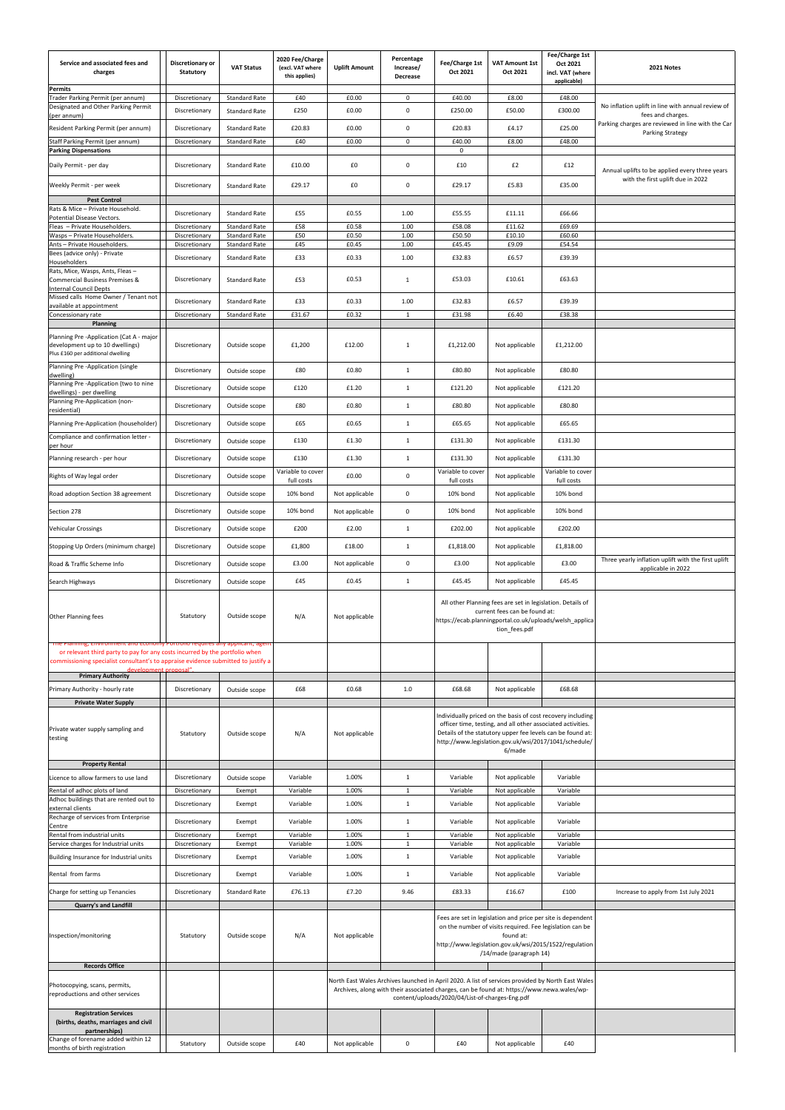| Service and associated fees and<br>charges<br><b>Permits</b>                                                                                                                              | Discretionary or<br><b>Statutory</b> | <b>VAT Status</b>                            | 2020 Fee/Charge<br>(excl. VAT where<br>this applies) | <b>Uplift Amount</b> | Percentage<br>Increase/<br>Decrease | Fee/Charge 1st<br>Oct 2021                                                                                                                                                                                                                         | <b>VAT Amount 1st</b><br>Oct 2021                                                                                                                                                                                                                           | Fee/Charge 1st<br>Oct 2021<br>incl. VAT (where<br>applicable) | 2021 Notes                                                                   |
|-------------------------------------------------------------------------------------------------------------------------------------------------------------------------------------------|--------------------------------------|----------------------------------------------|------------------------------------------------------|----------------------|-------------------------------------|----------------------------------------------------------------------------------------------------------------------------------------------------------------------------------------------------------------------------------------------------|-------------------------------------------------------------------------------------------------------------------------------------------------------------------------------------------------------------------------------------------------------------|---------------------------------------------------------------|------------------------------------------------------------------------------|
| Trader Parking Permit (per annum)                                                                                                                                                         | Discretionary                        | <b>Standard Rate</b>                         | £40                                                  | £0.00                | $\mathbf 0$                         | £40.00                                                                                                                                                                                                                                             | £8.00                                                                                                                                                                                                                                                       | £48.00                                                        |                                                                              |
| Designated and Other Parking Permit<br>(per annum)                                                                                                                                        | Discretionary                        | <b>Standard Rate</b>                         | £250                                                 | £0.00                | $\mathbf 0$                         | £250.00                                                                                                                                                                                                                                            | £50.00                                                                                                                                                                                                                                                      | £300.00                                                       | No inflation uplift in line with annual review of<br>fees and charges.       |
| Resident Parking Permit (per annum)                                                                                                                                                       | Discretionary                        | <b>Standard Rate</b>                         | £20.83                                               | £0.00                | $\mathbf 0$                         | £20.83                                                                                                                                                                                                                                             | £4.17                                                                                                                                                                                                                                                       | £25.00                                                        | Parking charges are reviewed in line with the Car<br><b>Parking Strategy</b> |
| Staff Parking Permit (per annum)<br><b>Parking Dispensations</b>                                                                                                                          | Discretionary                        | <b>Standard Rate</b>                         | £40                                                  | £0.00                | $\mathbf 0$                         | £40.00<br>$\mathbf 0$                                                                                                                                                                                                                              | £8.00                                                                                                                                                                                                                                                       | £48.00                                                        |                                                                              |
| Daily Permit - per day                                                                                                                                                                    | Discretionary                        | Standard Rate                                | £10.00                                               | £0                   | $\mathbf 0$                         | £10                                                                                                                                                                                                                                                | £2                                                                                                                                                                                                                                                          | £12                                                           | Annual uplifts to be applied every three years                               |
| Weekly Permit - per week                                                                                                                                                                  | Discretionary                        | <b>Standard Rate</b>                         | £29.17                                               | £0                   | $\mathbf 0$                         | £29.17                                                                                                                                                                                                                                             | £5.83                                                                                                                                                                                                                                                       | £35.00                                                        | with the first uplift due in 2022                                            |
| <b>Pest Control</b><br>Rats & Mice - Private Household.                                                                                                                                   |                                      |                                              |                                                      |                      |                                     |                                                                                                                                                                                                                                                    |                                                                                                                                                                                                                                                             |                                                               |                                                                              |
| <b>Potential Disease Vectors.</b><br>Fleas - Private Householders.                                                                                                                        | Discretionary<br>Discretionary       | <b>Standard Rate</b><br><b>Standard Rate</b> | £55<br>£58                                           | £0.55<br>£0.58       | 1.00<br>1.00                        | £55.55<br>£58.08                                                                                                                                                                                                                                   | £11.11<br>£11.62                                                                                                                                                                                                                                            | £66.66<br>£69.69                                              |                                                                              |
| Wasps - Private Householders.                                                                                                                                                             | Discretionary                        | <b>Standard Rate</b>                         | £50                                                  | £0.50                | 1.00                                | £50.50                                                                                                                                                                                                                                             | £10.10                                                                                                                                                                                                                                                      | £60.60                                                        |                                                                              |
| Ants - Private Householders.<br>Bees (advice only) - Private                                                                                                                              | Discretionary<br>Discretionary       | <b>Standard Rate</b><br><b>Standard Rate</b> | £45<br>£33                                           | £0.45<br>£0.33       | 1.00<br>1.00                        | £45.45<br>£32.83                                                                                                                                                                                                                                   | £9.09<br>£6.57                                                                                                                                                                                                                                              | £54.54<br>£39.39                                              |                                                                              |
| <b>Householders</b><br>Rats, Mice, Wasps, Ants, Fleas-<br><b>Commercial Business Premises &amp;</b>                                                                                       | Discretionary                        | Standard Rate                                | £53                                                  | £0.53                | $\mathbf{1}$                        | £53.03                                                                                                                                                                                                                                             | £10.61                                                                                                                                                                                                                                                      | £63.63                                                        |                                                                              |
| <b>Internal Council Depts</b><br>Missed calls Home Owner / Tenant not                                                                                                                     |                                      |                                              |                                                      |                      |                                     |                                                                                                                                                                                                                                                    |                                                                                                                                                                                                                                                             | £39.39                                                        |                                                                              |
| available at appointment<br>Concessionary rate                                                                                                                                            | Discretionary<br>Discretionary       | <b>Standard Rate</b><br><b>Standard Rate</b> | £33<br>£31.67                                        | £0.33<br>£0.32       | 1.00<br>1                           | £32.83<br>£31.98                                                                                                                                                                                                                                   | £6.57<br>£6.40                                                                                                                                                                                                                                              | £38.38                                                        |                                                                              |
| <b>Planning</b>                                                                                                                                                                           |                                      |                                              |                                                      |                      |                                     |                                                                                                                                                                                                                                                    |                                                                                                                                                                                                                                                             |                                                               |                                                                              |
| Planning Pre -Application (Cat A - major<br>development up to 10 dwellings)<br>Plus £160 per additional dwelling                                                                          | Discretionary                        | Outside scope                                | £1,200                                               | £12.00               | 1                                   | £1,212.00                                                                                                                                                                                                                                          | Not applicable                                                                                                                                                                                                                                              | £1,212.00                                                     |                                                                              |
| Planning Pre -Application (single<br>dwelling)                                                                                                                                            | Discretionary                        | Outside scope                                | £80                                                  | £0.80                | 1                                   | £80.80                                                                                                                                                                                                                                             | Not applicable                                                                                                                                                                                                                                              | £80.80                                                        |                                                                              |
| Planning Pre -Application (two to nine                                                                                                                                                    | Discretionary                        | Outside scope                                | £120                                                 | £1.20                | 1                                   | £121.20                                                                                                                                                                                                                                            | Not applicable                                                                                                                                                                                                                                              | £121.20                                                       |                                                                              |
| dwellings) - per dwelling<br>Planning Pre-Application (non-                                                                                                                               | Discretionary                        | Outside scope                                | £80                                                  | £0.80                | $\mathbf{1}$                        | £80.80                                                                                                                                                                                                                                             | Not applicable                                                                                                                                                                                                                                              | £80.80                                                        |                                                                              |
| residential)<br>Planning Pre-Application (householder)                                                                                                                                    | Discretionary                        | Outside scope                                | £65                                                  | £0.65                | 1                                   | £65.65                                                                                                                                                                                                                                             | Not applicable                                                                                                                                                                                                                                              | £65.65                                                        |                                                                              |
| Compliance and confirmation letter -                                                                                                                                                      | Discretionary                        | Outside scope                                | £130                                                 | £1.30                | $\mathbf{1}$                        | £131.30                                                                                                                                                                                                                                            | Not applicable                                                                                                                                                                                                                                              | £131.30                                                       |                                                                              |
| per hour<br>Planning research - per hour                                                                                                                                                  | Discretionary                        | Outside scope                                | £130                                                 | £1.30                | $\mathbf{1}$                        | £131.30                                                                                                                                                                                                                                            | Not applicable                                                                                                                                                                                                                                              | £131.30                                                       |                                                                              |
| Rights of Way legal order                                                                                                                                                                 | Discretionary                        | Outside scope                                | Variable to cover<br>full costs                      | £0.00                | 0                                   | Variable to cover<br>full costs                                                                                                                                                                                                                    | Not applicable                                                                                                                                                                                                                                              | Variable to cover<br>full costs                               |                                                                              |
| Road adoption Section 38 agreement                                                                                                                                                        | Discretionary                        | Outside scope                                | 10% bond                                             | Not applicable       | $\pmb{0}$                           | 10% bond                                                                                                                                                                                                                                           | Not applicable                                                                                                                                                                                                                                              | 10% bond                                                      |                                                                              |
| Section 278                                                                                                                                                                               | Discretionary                        | Outside scope                                | 10% bond                                             | Not applicable       | $\pmb{0}$                           | 10% bond                                                                                                                                                                                                                                           | Not applicable                                                                                                                                                                                                                                              | 10% bond                                                      |                                                                              |
| Vehicular Crossings                                                                                                                                                                       | Discretionary                        | Outside scope                                | £200                                                 | £2.00                | $\mathbf{1}$                        | £202.00                                                                                                                                                                                                                                            | Not applicable                                                                                                                                                                                                                                              | £202.00                                                       |                                                                              |
| Stopping Up Orders (minimum charge)                                                                                                                                                       | Discretionary                        | Outside scope                                | £1,800                                               | £18.00               | $\mathbf{1}$                        | £1,818.00                                                                                                                                                                                                                                          | Not applicable                                                                                                                                                                                                                                              | £1,818.00                                                     |                                                                              |
| Road & Traffic Scheme Info                                                                                                                                                                | Discretionary                        | Outside scope                                | £3.00                                                | Not applicable       | $\mathbf 0$                         | £3.00                                                                                                                                                                                                                                              | Not applicable                                                                                                                                                                                                                                              | £3.00                                                         | Three yearly inflation uplift with the first uplift                          |
| Search Highways                                                                                                                                                                           | Discretionary                        | Outside scope                                | £45                                                  | £0.45                | $\mathbf{1}$                        | £45.45                                                                                                                                                                                                                                             | Not applicable                                                                                                                                                                                                                                              | £45.45                                                        | applicable in 2022                                                           |
| <b>Other Planning fees</b><br>The Planning, Environment and Economy Portfolio requires any applicant, agent                                                                               | Statutory                            | Outside scope                                | N/A                                                  | Not applicable       |                                     |                                                                                                                                                                                                                                                    | All other Planning fees are set in legislation. Details of<br>current fees can be found at:<br>https://ecab.planningportal.co.uk/uploads/welsh_applica<br>tion_fees.pdf                                                                                     |                                                               |                                                                              |
| or relevant third party to pay for any costs incurred by the portfolio when<br>commissioning specialist consultant's to appraise evidence submitted to justify a<br>development proposal" |                                      |                                              |                                                      |                      |                                     |                                                                                                                                                                                                                                                    |                                                                                                                                                                                                                                                             |                                                               |                                                                              |
| <b>Primary Authority</b><br>Primary Authority - hourly rate                                                                                                                               | Discretionary                        | Outside scope                                | £68                                                  | £0.68                | 1.0                                 | £68.68                                                                                                                                                                                                                                             | Not applicable                                                                                                                                                                                                                                              | £68.68                                                        |                                                                              |
| <b>Private Water Supply</b>                                                                                                                                                               |                                      |                                              |                                                      |                      |                                     |                                                                                                                                                                                                                                                    |                                                                                                                                                                                                                                                             |                                                               |                                                                              |
| Private water supply sampling and<br>testing<br><b>Property Rental</b>                                                                                                                    | Statutory                            | Outside scope                                | N/A                                                  | Not applicable       |                                     |                                                                                                                                                                                                                                                    | Individually priced on the basis of cost recovery including<br>officer time, testing, and all other associated activities.<br>Details of the statutory upper fee levels can be found at:<br>http://www.legislation.gov.uk/wsi/2017/1041/schedule/<br>6/made |                                                               |                                                                              |
| Licence to allow farmers to use land                                                                                                                                                      | Discretionary                        | Outside scope                                | Variable                                             | 1.00%                | $\mathbf{1}$                        | Variable                                                                                                                                                                                                                                           | Not applicable                                                                                                                                                                                                                                              | Variable                                                      |                                                                              |
| Rental of adhoc plots of land<br>Adhoc buildings that are rented out to                                                                                                                   | Discretionary                        | Exempt                                       | Variable                                             | 1.00%                | $\mathbf{1}$                        | Variable                                                                                                                                                                                                                                           | Not applicable                                                                                                                                                                                                                                              | Variable                                                      |                                                                              |
| external clients<br>Recharge of services from Enterprise                                                                                                                                  | Discretionary                        | Exempt                                       | Variable                                             | 1.00%                | $\mathbf{1}$                        | Variable                                                                                                                                                                                                                                           | Not applicable                                                                                                                                                                                                                                              | Variable                                                      |                                                                              |
| Centre                                                                                                                                                                                    | Discretionary                        | Exempt                                       | Variable                                             | 1.00%                | $\mathbf{1}$                        | Variable                                                                                                                                                                                                                                           | Not applicable                                                                                                                                                                                                                                              | Variable                                                      |                                                                              |
| Rental from industrial units<br>Service charges for Industrial units                                                                                                                      | Discretionary<br>Discretionary       | Exempt<br>Exempt                             | Variable<br>Variable                                 | 1.00%<br>1.00%       | 1<br>$\mathbf{1}$                   | Variable<br>Variable                                                                                                                                                                                                                               | Not applicable<br>Not applicable                                                                                                                                                                                                                            | Variable<br>Variable                                          |                                                                              |
| Building Insurance for Industrial units                                                                                                                                                   | Discretionary                        | Exempt                                       | Variable                                             | 1.00%                | $\mathbf{1}$                        | Variable                                                                                                                                                                                                                                           | Not applicable                                                                                                                                                                                                                                              | Variable                                                      |                                                                              |
| Rental from farms                                                                                                                                                                         | Discretionary                        | Exempt                                       | Variable                                             | 1.00%                | $\mathbf{1}$                        | Variable                                                                                                                                                                                                                                           | Not applicable                                                                                                                                                                                                                                              | Variable                                                      |                                                                              |
| Charge for setting up Tenancies                                                                                                                                                           | Discretionary                        | <b>Standard Rate</b>                         | £76.13                                               | £7.20                | 9.46                                | £83.33                                                                                                                                                                                                                                             | £16.67                                                                                                                                                                                                                                                      | £100                                                          | Increase to apply from 1st July 2021                                         |
| <b>Quarry's and Landfill</b>                                                                                                                                                              |                                      |                                              |                                                      |                      |                                     |                                                                                                                                                                                                                                                    |                                                                                                                                                                                                                                                             |                                                               |                                                                              |
| Inspection/monitoring                                                                                                                                                                     | Statutory                            | Outside scope                                | N/A                                                  | Not applicable       |                                     |                                                                                                                                                                                                                                                    | Fees are set in legislation and price per site is dependent<br>on the number of visits required. Fee legislation can be<br>found at:<br>http://www.legislation.gov.uk/wsi/2015/1522/regulation<br>/14/made (paragraph 14)                                   |                                                               |                                                                              |
| <b>Records Office</b>                                                                                                                                                                     |                                      |                                              |                                                      |                      |                                     |                                                                                                                                                                                                                                                    |                                                                                                                                                                                                                                                             |                                                               |                                                                              |
| Photocopying, scans, permits,<br>reproductions and other services                                                                                                                         |                                      |                                              |                                                      |                      |                                     | North East Wales Archives launched in April 2020. A list of services provided by North East Wales<br>Archives, along with their associated charges, can be found at: https://www.newa.wales/wp-<br>content/uploads/2020/04/List-of-charges-Eng.pdf |                                                                                                                                                                                                                                                             |                                                               |                                                                              |
| <b>Registration Services</b><br>(births, deaths, marriages and civil<br>partnerships)                                                                                                     |                                      |                                              |                                                      |                      |                                     |                                                                                                                                                                                                                                                    |                                                                                                                                                                                                                                                             |                                                               |                                                                              |
| Change of forename added within 12<br>months of birth registration                                                                                                                        | Statutory                            | Outside scope                                | £40                                                  | Not applicable       | $\mathbf 0$                         | £40                                                                                                                                                                                                                                                | Not applicable                                                                                                                                                                                                                                              | £40                                                           |                                                                              |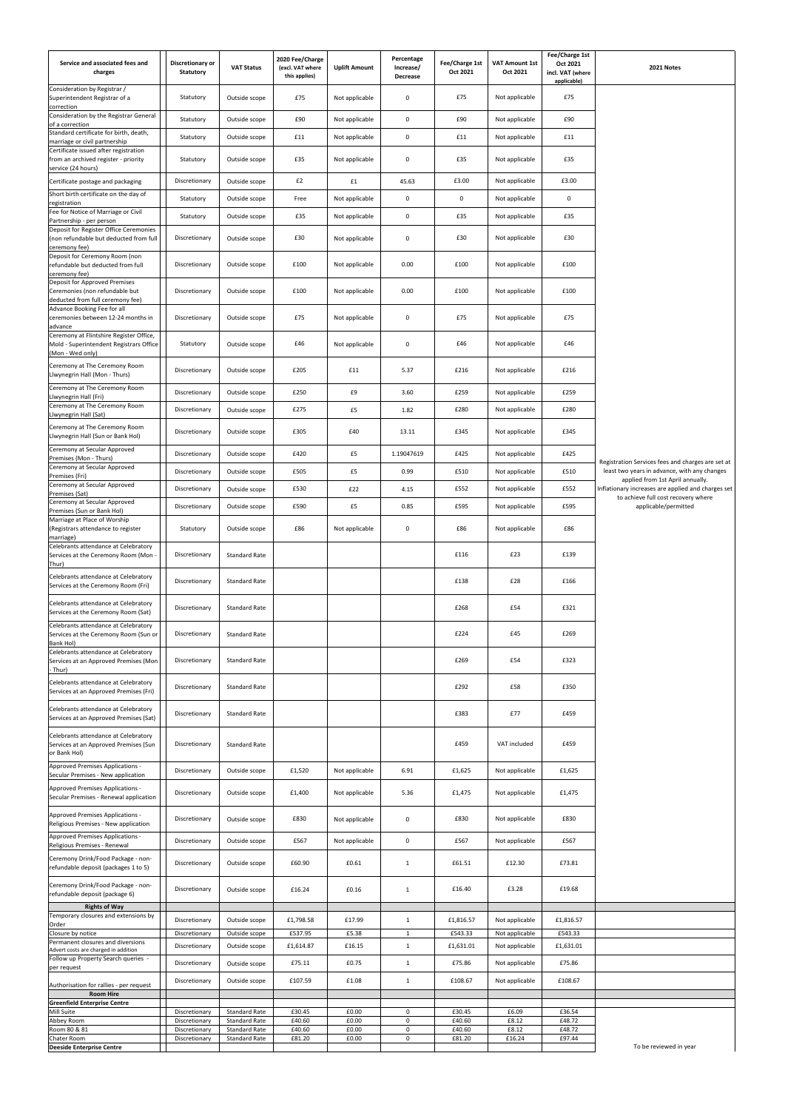| Service and associated fees and<br>charges                                                                          | Discretionary or<br>Statutory  | <b>VAT Status</b>                            | 2020 Fee/Charge<br>(excl. VAT where<br>this applies) | <b>Uplift Amount</b>   | Percentage<br>Increase/<br>Decrease | Fee/Charge 1st<br>Oct 2021 | VAT Amount 1st<br>Oct 2021 | Fee/Charge 1st<br>Oct 2021<br>incl. VAT (where<br>applicable) | 2021 Notes                                                                                |
|---------------------------------------------------------------------------------------------------------------------|--------------------------------|----------------------------------------------|------------------------------------------------------|------------------------|-------------------------------------|----------------------------|----------------------------|---------------------------------------------------------------|-------------------------------------------------------------------------------------------|
| Consideration by Registrar /<br>Superintendent Registrar of a<br>correction                                         | Statutory                      | Outside scope                                | £75                                                  | Not applicable         | $\mathbf 0$                         | £75                        | Not applicable             | £75                                                           |                                                                                           |
| Consideration by the Registrar General<br>of a correction                                                           | Statutory                      | Outside scope                                | £90                                                  | Not applicable         | $\pmb{0}$                           | £90                        | Not applicable             | £90                                                           |                                                                                           |
| Standard certificate for birth, death,<br>marriage or civil partnership                                             | Statutory                      | Outside scope                                | £11                                                  | Not applicable         | $\pmb{0}$                           | £11                        | Not applicable             | £11                                                           |                                                                                           |
| Certificate issued after registration<br>from an archived register - priority<br>service (24 hours)                 | Statutory                      | Outside scope                                | £35                                                  | Not applicable         | $\mathbf 0$                         | £35                        | Not applicable             | £35                                                           |                                                                                           |
| Certificate postage and packaging                                                                                   | Discretionary                  | Outside scope                                | £2                                                   | £1                     | 45.63                               | £3.00                      | Not applicable             | £3.00                                                         |                                                                                           |
| Short birth certificate on the day of<br>registration                                                               | Statutory                      | Outside scope                                | Free                                                 | Not applicable         | $\pmb{0}$                           | 0                          | Not applicable             | $\mathbf 0$                                                   |                                                                                           |
| Fee for Notice of Marriage or Civil<br>Partnership - per person                                                     | Statutory                      | Outside scope                                | £35                                                  | Not applicable         | $\pmb{0}$                           | £35                        | Not applicable             | £35                                                           |                                                                                           |
| Deposit for Register Office Ceremonies<br>(non refundable but deducted from full<br>ceremony fee)                   | Discretionary                  | Outside scope                                | £30                                                  | Not applicable         | $\mathbf 0$                         | £30                        | Not applicable             | £30                                                           |                                                                                           |
| Deposit for Ceremony Room (non<br>refundable but deducted from full<br>ceremony fee)                                | Discretionary                  | Outside scope                                | £100                                                 | Not applicable         | 0.00                                | £100                       | Not applicable             | £100                                                          |                                                                                           |
| Deposit for Approved Premises<br>Ceremonies (non refundable but<br>deducted from full ceremony fee)                 | Discretionary                  | Outside scope                                | £100                                                 | Not applicable         | 0.00                                | £100                       | Not applicable             | £100                                                          |                                                                                           |
| Advance Booking Fee for all<br>ceremonies between 12-24 months in<br>advance                                        | Discretionary                  | Outside scope                                | £75                                                  | Not applicable         | 0                                   | £75                        | Not applicable             | £75                                                           |                                                                                           |
| Ceremony at Flintshire Register Office,<br>Mold - Superintendent Registrars Office<br>(Mon - Wed only)              | Statutory                      | Outside scope                                | £46                                                  | Not applicable         | $\mathbf 0$                         | £46                        | Not applicable             | £46                                                           |                                                                                           |
| Ceremony at The Ceremony Room<br>Llwynegrin Hall (Mon - Thurs)                                                      | Discretionary                  | Outside scope                                | £205                                                 | £11                    | 5.37                                | £216                       | Not applicable             | £216                                                          |                                                                                           |
| Ceremony at The Ceremony Room<br>Llwynegrin Hall (Fri)                                                              | Discretionary                  | Outside scope                                | £250                                                 | £9                     | 3.60                                | £259                       | Not applicable             | £259                                                          |                                                                                           |
| Ceremony at The Ceremony Room<br>Llwynegrin Hall (Sat)                                                              | Discretionary                  | Outside scope                                | £275                                                 | £5                     | 1.82                                | £280                       | Not applicable             | £280                                                          |                                                                                           |
| Ceremony at The Ceremony Room<br>Llwynegrin Hall (Sun or Bank Hol)                                                  | Discretionary                  | Outside scope                                | £305                                                 | £40                    | 13.11                               | £345                       | Not applicable             | £345                                                          |                                                                                           |
| Ceremony at Secular Approved<br>Premises (Mon - Thurs)                                                              | Discretionary                  | Outside scope                                | £420                                                 | £5                     | 1.19047619                          | £425                       | Not applicable             | £425                                                          | Registration Services fees and charges are set at                                         |
| Ceremony at Secular Approved<br>Premises (Fri)                                                                      | Discretionary                  | Outside scope                                | £505                                                 | £5                     | 0.99                                | £510                       | Not applicable             | £510                                                          | least two years in advance, with any changes<br>applied from 1st April annually.          |
| Ceremony at Secular Approved<br>Premises (Sat)                                                                      | Discretionary                  | Outside scope                                | £530                                                 | £22                    | 4.15                                | £552                       | Not applicable             | £552                                                          | Inflationary increases are applied and charges set<br>to achieve full cost recovery where |
| Ceremony at Secular Approved<br>Premises (Sun or Bank Hol)                                                          | Discretionary                  | Outside scope                                | £590                                                 | £5                     | 0.85                                | £595                       | Not applicable             | £595                                                          | applicable/permitted                                                                      |
| Marriage at Place of Worship<br>(Registrars attendance to register<br>marriage)                                     | Statutory                      | Outside scope                                | £86                                                  | Not applicable         | $\mathbf 0$                         | £86                        | Not applicable             | £86                                                           |                                                                                           |
| Celebrants attendance at Celebratory<br>Services at the Ceremony Room (Mon<br>Thur)                                 | Discretionary                  | Standard Rate                                |                                                      |                        |                                     | £116                       | £23                        | £139                                                          |                                                                                           |
| Celebrants attendance at Celebratory<br>Services at the Ceremony Room (Fri)                                         | Discretionary                  | Standard Rate                                |                                                      |                        |                                     | £138                       | £28                        | £166                                                          |                                                                                           |
| Celebrants attendance at Celebratory<br>Services at the Ceremony Room (Sat)<br>Celebrants attendance at Celebratory | Discretionary                  | Standard Rate                                |                                                      |                        |                                     | £268                       | £54                        | £321                                                          |                                                                                           |
| Services at the Ceremony Room (Sun or<br>Bank Hol)<br>Celebrants attendance at Celebratory                          | Discretionary                  | Standard Rate                                |                                                      |                        |                                     | £224                       | £45                        | £269                                                          |                                                                                           |
| Services at an Approved Premises (Mon<br>- Thur)                                                                    | Discretionary                  | Standard Rate                                |                                                      |                        |                                     | £269                       | £54                        | £323                                                          |                                                                                           |
| Celebrants attendance at Celebratory<br>Services at an Approved Premises (Fri)                                      | Discretionary                  | <b>Standard Rate</b>                         |                                                      |                        |                                     | £292                       | £58                        | £350                                                          |                                                                                           |
| Celebrants attendance at Celebratory<br>Services at an Approved Premises (Sat)                                      | Discretionary                  | <b>Standard Rate</b>                         |                                                      |                        |                                     | £383                       | £77                        | £459                                                          |                                                                                           |
| Celebrants attendance at Celebratory<br>Services at an Approved Premises (Sun<br>or Bank Hol)                       | Discretionary                  | Standard Rate                                |                                                      |                        |                                     | £459                       | VAT included               | £459                                                          |                                                                                           |
| Approved Premises Applications -<br>Secular Premises - New application                                              | Discretionary                  | Outside scope                                | £1,520                                               | Not applicable         | 6.91                                | £1,625                     | Not applicable             | £1,625                                                        |                                                                                           |
| Approved Premises Applications -<br>Secular Premises - Renewal application                                          | Discretionary                  | Outside scope                                | £1,400                                               | Not applicable         | 5.36                                | £1,475                     | Not applicable             | £1,475                                                        |                                                                                           |
| Approved Premises Applications -<br>Religious Premises - New application                                            | Discretionary                  | Outside scope                                | £830                                                 | Not applicable         | $\mathbf 0$                         | £830                       | Not applicable             | £830                                                          |                                                                                           |
| Approved Premises Applications -<br>Religious Premises - Renewal                                                    | Discretionary                  | Outside scope                                | £567                                                 | Not applicable         | $\pmb{0}$                           | £567                       | Not applicable             | £567                                                          |                                                                                           |
| Ceremony Drink/Food Package - non-<br>refundable deposit (packages 1 to 5)                                          | Discretionary                  | Outside scope                                | £60.90                                               | £0.61                  | $\mathbf{1}$                        | £61.51                     | £12.30                     | £73.81                                                        |                                                                                           |
| Ceremony Drink/Food Package - non-<br>refundable deposit (package 6)                                                | Discretionary                  | Outside scope                                | £16.24                                               | £0.16                  | $\mathbf{1}$                        | £16.40                     | £3.28                      | £19.68                                                        |                                                                                           |
| <b>Rights of Way</b><br>Temporary closures and extensions by                                                        | Discretionary                  | Outside scope                                | £1,798.58                                            | £17.99                 | 1                                   | £1,816.57                  | Not applicable             | £1,816.57                                                     |                                                                                           |
| Order<br>Closure by notice                                                                                          | Discretionary                  | Outside scope                                | £537.95                                              | £5.38                  | $\mathbf{1}$                        | £543.33                    | Not applicable             | £543.33                                                       |                                                                                           |
| Permanent closures and diversions<br>Advert costs are charged in addition                                           | Discretionary                  | Outside scope                                | £1,614.87                                            | £16.15                 | $\mathbf{1}$                        | £1,631.01                  | Not applicable             | £1,631.01                                                     |                                                                                           |
| Follow up Property Search queries -<br>per request                                                                  | Discretionary                  | Outside scope                                | £75.11                                               | £0.75                  | $\mathbf{1}$                        | £75.86                     | Not applicable             | £75.86                                                        |                                                                                           |
| Authorisation for rallies - per request<br><b>Room Hire</b>                                                         | Discretionary                  | Outside scope                                | £107.59                                              | £1.08                  | 1                                   | £108.67                    | Not applicable             | £108.67                                                       |                                                                                           |
| <b>Greenfield Enterprise Centre</b>                                                                                 |                                |                                              |                                                      |                        |                                     |                            |                            |                                                               |                                                                                           |
| Mill Suite<br>Abbey Room                                                                                            | Discretionary<br>Discretionary | Standard Rate<br><b>Standard Rate</b>        | £30.45<br>£40.60                                     | £0.00<br>£0.00         | $\mathbf 0$<br>$\mathsf{O}$         | £30.45<br>£40.60           | £6.09<br>£8.12             | £36.54<br>£48.72                                              |                                                                                           |
| Room 80 & 81<br>Chater Room                                                                                         | Discretionary<br>Discretionary | <b>Standard Rate</b><br><b>Standard Rate</b> | £40.60<br>£81.20                                     | £0.00<br>$\pounds0.00$ | $\mathsf{O}$<br>$\mathsf{O}$        | £40.60<br>£81.20           | £8.12<br>£16.24            | £48.72<br>£97.44                                              |                                                                                           |
| <b>Deeside Enterprise Centre</b>                                                                                    |                                |                                              |                                                      |                        |                                     |                            |                            |                                                               | To be reviewed in year                                                                    |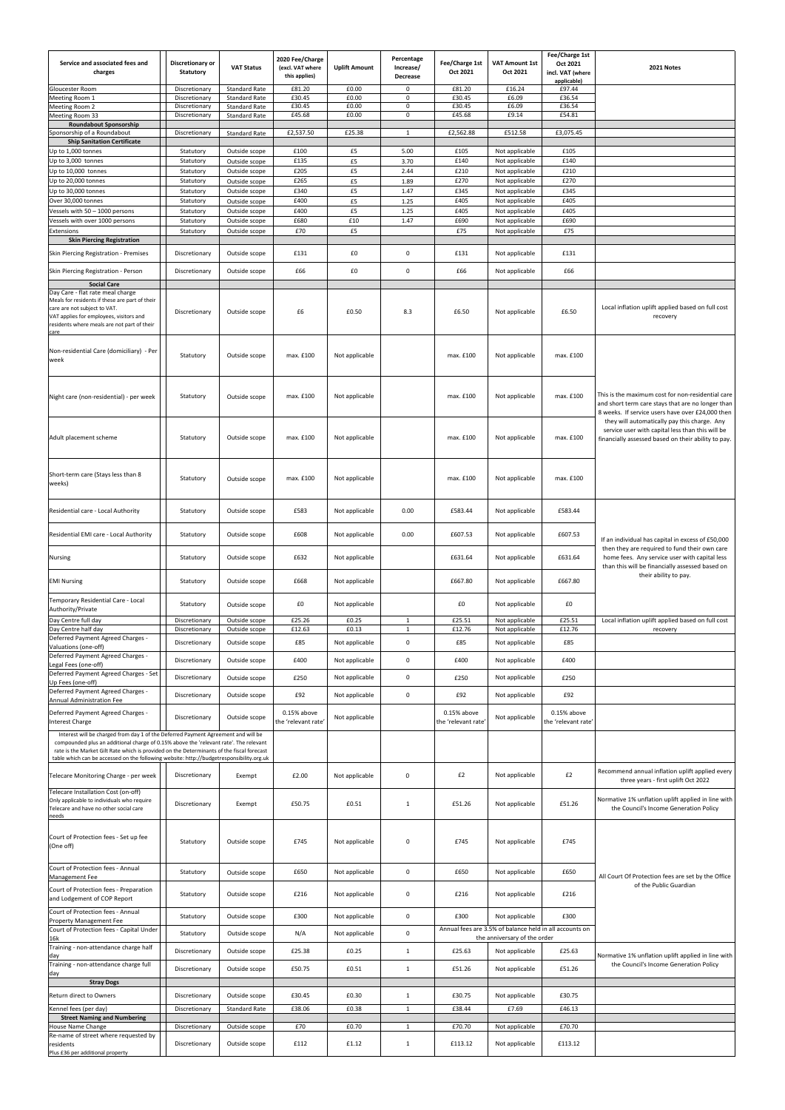| Service and associated fees and<br>charges                                                                                                                                                                                                                                                                                                                          | Discretionary or<br><b>Statutory</b> | <b>VAT Status</b>                            | 2020 Fee/Charge<br>(excl. VAT where<br>this applies) | <b>Uplift Amount</b>    | Percentage<br>Increase/<br>Decrease | Fee/Charge 1st<br>Oct 2021         | <b>VAT Amount 1st</b><br>Oct 2021                                         | Fee/Charge 1st<br>Oct 2021<br>incl. VAT (where<br>applicable) | 2021 Notes                                                                                                                                                                                                 |
|---------------------------------------------------------------------------------------------------------------------------------------------------------------------------------------------------------------------------------------------------------------------------------------------------------------------------------------------------------------------|--------------------------------------|----------------------------------------------|------------------------------------------------------|-------------------------|-------------------------------------|------------------------------------|---------------------------------------------------------------------------|---------------------------------------------------------------|------------------------------------------------------------------------------------------------------------------------------------------------------------------------------------------------------------|
| Gloucester Room                                                                                                                                                                                                                                                                                                                                                     | Discretionary                        | <b>Standard Rate</b>                         | £81.20                                               | £0.00                   | $\mathbf 0$                         | £81.20                             | £16.24                                                                    | £97.44                                                        |                                                                                                                                                                                                            |
| Meeting Room 1<br>Meeting Room 2                                                                                                                                                                                                                                                                                                                                    | Discretionary<br>Discretionary       | <b>Standard Rate</b><br><b>Standard Rate</b> | £30.45<br>£30.45                                     | £0.00<br>£0.00          | $\mathbf 0$<br>$\mathbf 0$          | £30.45<br>£30.45                   | £6.09<br>£6.09                                                            | £36.54<br>£36.54                                              |                                                                                                                                                                                                            |
| Meeting Room 33<br><b>Roundabout Sponsorship</b>                                                                                                                                                                                                                                                                                                                    | Discretionary                        | <b>Standard Rate</b>                         | £45.68                                               | £0.00                   | $\mathbf{0}$                        | £45.68                             | £9.14                                                                     | £54.81                                                        |                                                                                                                                                                                                            |
| Sponsorship of a Roundabout                                                                                                                                                                                                                                                                                                                                         | Discretionary                        | <b>Standard Rate</b>                         | £2,537.50                                            | £25.38                  | 1                                   | £2,562.88                          | £512.58                                                                   | £3,075.45                                                     |                                                                                                                                                                                                            |
| <b>Ship Sanitation Certificate</b><br>Up to 1,000 tonnes                                                                                                                                                                                                                                                                                                            | Statutory                            | Outside scope                                | £100                                                 | £5                      | 5.00                                | £105                               | Not applicable                                                            | £105                                                          |                                                                                                                                                                                                            |
| Up to 3,000 tonnes                                                                                                                                                                                                                                                                                                                                                  | Statutory                            | Outside scope                                | £135                                                 | £5                      | 3.70                                | £140                               | Not applicable                                                            | £140                                                          |                                                                                                                                                                                                            |
| Up to 10,000 tonnes<br>Up to 20,000 tonnes                                                                                                                                                                                                                                                                                                                          | Statutory<br>Statutory               | Outside scope<br>Outside scope               | £205<br>£265                                         | £5<br>£5                | 2.44<br>1.89                        | £210<br>£270                       | Not applicable<br>Not applicable                                          | £210<br>£270                                                  |                                                                                                                                                                                                            |
| Up to 30,000 tonnes                                                                                                                                                                                                                                                                                                                                                 | Statutory                            | Outside scope                                | £340                                                 | £5                      | 1.47                                | £345                               | Not applicable                                                            | £345                                                          |                                                                                                                                                                                                            |
| Over 30,000 tonnes<br>Vessels with 50 - 1000 persons                                                                                                                                                                                                                                                                                                                | Statutory                            | Outside scope                                | £400<br>£400                                         | £5<br>£5                | 1.25<br>1.25                        | £405<br>£405                       | Not applicable                                                            | £405<br>£405                                                  |                                                                                                                                                                                                            |
| Vessels with over 1000 persons                                                                                                                                                                                                                                                                                                                                      | Statutory<br>Statutory               | Outside scope<br>Outside scope               | £680                                                 | £10                     | 1.47                                | £690                               | Not applicable<br>Not applicable                                          | £690                                                          |                                                                                                                                                                                                            |
| Extensions<br><b>Skin Piercing Registration</b>                                                                                                                                                                                                                                                                                                                     | Statutory                            | Outside scope                                | £70                                                  | £5                      |                                     | £75                                | Not applicable                                                            | £75                                                           |                                                                                                                                                                                                            |
| Skin Piercing Registration - Premises                                                                                                                                                                                                                                                                                                                               | Discretionary                        | Outside scope                                | £131                                                 | £0                      | $\mathbf 0$                         | £131                               | Not applicable                                                            | £131                                                          |                                                                                                                                                                                                            |
| Skin Piercing Registration - Person                                                                                                                                                                                                                                                                                                                                 | Discretionary                        | Outside scope                                | £66                                                  | £0                      | $\mathbf 0$                         | £66                                | Not applicable                                                            | £66                                                           |                                                                                                                                                                                                            |
| <b>Social Care</b><br>Day Care - flat rate meal charge<br>Meals for residents if these are part of their<br>care are not subject to VAT.<br>VAT applies for employees, visitors and<br>residents where meals are not part of their                                                                                                                                  | Discretionary                        | Outside scope                                | £6                                                   | £0.50                   | 8.3                                 | £6.50                              | Not applicable                                                            | £6.50                                                         | Local inflation uplift applied based on full cost<br>recovery                                                                                                                                              |
| care<br>Non-residential Care (domiciliary) - Per<br>week                                                                                                                                                                                                                                                                                                            | Statutory                            | Outside scope                                | max. £100                                            | Not applicable          |                                     | max. £100                          | Not applicable                                                            | max. £100                                                     |                                                                                                                                                                                                            |
| Night care (non-residential) - per week                                                                                                                                                                                                                                                                                                                             | Statutory                            | Outside scope                                | max. £100                                            | Not applicable          |                                     | max. £100                          | Not applicable                                                            | max. £100                                                     | This is the maximum cost for non-residential care<br>and short term care stays that are no longer than<br>8 weeks. If service users have over £24,000 then<br>they will automatically pay this charge. Any |
| Adult placement scheme                                                                                                                                                                                                                                                                                                                                              | Statutory                            | Outside scope                                | max. £100                                            | Not applicable          |                                     | max. £100                          | Not applicable                                                            | max. £100                                                     | service user with capital less than this will be<br>financially assessed based on their ability to pay.                                                                                                    |
| Short-term care (Stays less than 8<br>weeks)                                                                                                                                                                                                                                                                                                                        | Statutory                            | Outside scope                                | max. £100                                            | Not applicable          |                                     | max. £100                          | Not applicable                                                            | max. £100                                                     |                                                                                                                                                                                                            |
| Residential care - Local Authority                                                                                                                                                                                                                                                                                                                                  | Statutory                            | Outside scope                                | £583                                                 | Not applicable          | 0.00                                | £583.44                            | Not applicable                                                            | £583.44                                                       |                                                                                                                                                                                                            |
| Residential EMI care - Local Authority                                                                                                                                                                                                                                                                                                                              | Statutory                            | Outside scope                                | £608                                                 | Not applicable          | 0.00                                | £607.53                            | Not applicable                                                            | £607.53                                                       | If an individual has capital in excess of £50,000<br>then they are required to fund their own care                                                                                                         |
| Nursing                                                                                                                                                                                                                                                                                                                                                             | Statutory                            | Outside scope                                | £632                                                 | Not applicable          |                                     | £631.64                            | Not applicable                                                            | £631.64                                                       | home fees. Any service user with capital less<br>than this will be financially assessed based on                                                                                                           |
| <b>EMI Nursing</b>                                                                                                                                                                                                                                                                                                                                                  | Statutory                            | Outside scope                                | £668                                                 | Not applicable          |                                     | £667.80                            | Not applicable                                                            | £667.80                                                       | their ability to pay.                                                                                                                                                                                      |
| Temporary Residential Care - Local<br>Authority/Private                                                                                                                                                                                                                                                                                                             | Statutory                            | Outside scope                                | £0                                                   | Not applicable<br>£0.25 |                                     | £0                                 | Not applicable                                                            | £0                                                            |                                                                                                                                                                                                            |
| Day Centre full day<br>Day Centre half day                                                                                                                                                                                                                                                                                                                          | Discretionary<br>Discretionary       | Outside scope<br>Outside scope               | £25.26<br>£12.63                                     | £0.13                   | $\mathbf{1}$<br>$\mathbf{1}$        | £25.51<br>£12.76                   | Not applicable<br>Not applicable                                          | £25.51<br>£12.76                                              | Local inflation uplift applied based on full cost<br>recovery                                                                                                                                              |
| Deferred Payment Agreed Charges -<br>Valuations (one-off)                                                                                                                                                                                                                                                                                                           | Discretionary                        | Outside scope                                | £85                                                  | Not applicable          | $\pmb{0}$                           | £85                                | Not applicable                                                            | £85                                                           |                                                                                                                                                                                                            |
| Deferred Payment Agreed Charges -                                                                                                                                                                                                                                                                                                                                   | Discretionary                        | Outside scope                                | £400                                                 | Not applicable          | $\mathbf 0$                         | £400                               | Not applicable                                                            | £400                                                          |                                                                                                                                                                                                            |
| Legal Fees (one-off)<br>Deferred Payment Agreed Charges - Set                                                                                                                                                                                                                                                                                                       |                                      |                                              |                                                      |                         |                                     |                                    |                                                                           |                                                               |                                                                                                                                                                                                            |
| Up Fees (one-off)                                                                                                                                                                                                                                                                                                                                                   | Discretionary                        | Outside scope                                | £250                                                 | Not applicable          | $\mathbf 0$                         | £250                               | Not applicable                                                            | £250                                                          |                                                                                                                                                                                                            |
| Deferred Payment Agreed Charges -<br>Annual Administration Fee                                                                                                                                                                                                                                                                                                      | Discretionary                        | Outside scope                                | £92                                                  | Not applicable          | $\mathbf 0$                         | £92                                | Not applicable                                                            | £92                                                           |                                                                                                                                                                                                            |
| Deferred Payment Agreed Charges -<br>nterest Charge                                                                                                                                                                                                                                                                                                                 | Discretionary                        | Outside scope                                | 0.15% above<br>the 'relevant rate                    | Not applicable          |                                     | 0.15% above<br>the 'relevant rate' | Not applicable                                                            | $0.15%$ above<br>the 'relevant rate'                          |                                                                                                                                                                                                            |
| Interest will be charged from day 1 of the Deferred Payment Agreement and will be<br>compounded plus an additional charge of 0.15% above the 'relevant rate'. The relevant<br>rate is the Market Gilt Rate which is provided on the Determinants of the fiscal forecast<br>table which can be accessed on the following website: http://budgetresponsibility.org.uk |                                      |                                              |                                                      |                         |                                     |                                    |                                                                           |                                                               |                                                                                                                                                                                                            |
| Telecare Monitoring Charge - per week                                                                                                                                                                                                                                                                                                                               | Discretionary                        | Exempt                                       | £2.00                                                | Not applicable          | 0                                   | £2                                 | Not applicable                                                            | £2                                                            | Recommend annual inflation uplift applied every<br>three years - first uplift Oct 2022                                                                                                                     |
| Telecare Installation Cost (on-off)<br>Only applicable to individuals who require<br>Telecare and have no other social care<br>าeeds                                                                                                                                                                                                                                | Discretionary                        | Exempt                                       | £50.75                                               | £0.51                   | 1                                   | £51.26                             | Not applicable                                                            | £51.26                                                        | Normative 1% unflation uplift applied in line with<br>the Council's Income Generation Policy                                                                                                               |
| Court of Protection fees - Set up fee<br>(One off)                                                                                                                                                                                                                                                                                                                  | Statutory                            | Outside scope                                | £745                                                 | Not applicable          | 0                                   | £745                               | Not applicable                                                            | £745                                                          |                                                                                                                                                                                                            |
| Court of Protection fees - Annual<br>Management Fee                                                                                                                                                                                                                                                                                                                 | Statutory                            | Outside scope                                | £650                                                 | Not applicable          | $\mathbf 0$                         | £650                               | Not applicable                                                            | £650                                                          | All Court Of Protection fees are set by the Office<br>of the Public Guardian                                                                                                                               |
| Court of Protection fees - Preparation<br>and Lodgement of COP Report                                                                                                                                                                                                                                                                                               | Statutory                            | Outside scope                                | £216                                                 | Not applicable          | $\mathbf 0$                         | £216                               | Not applicable                                                            | £216                                                          |                                                                                                                                                                                                            |
| Court of Protection fees - Annual<br>Property Management Fee                                                                                                                                                                                                                                                                                                        | Statutory                            | Outside scope                                | £300                                                 | Not applicable          | $\mathbf 0$                         | £300                               | Not applicable<br>Annual fees are 3.5% of balance held in all accounts on | £300                                                          |                                                                                                                                                                                                            |
| Court of Protection fees - Capital Under<br>16k<br>Training - non-attendance charge half                                                                                                                                                                                                                                                                            | Statutory                            | Outside scope                                | N/A                                                  | Not applicable          | $\mathbf 0$                         |                                    | the anniversary of the order                                              |                                                               |                                                                                                                                                                                                            |
| day<br>Training - non-attendance charge full                                                                                                                                                                                                                                                                                                                        | Discretionary                        | Outside scope                                | £25.38                                               | £0.25                   | $\mathbf{1}$                        | £25.63                             | Not applicable                                                            | £25.63                                                        | Normative 1% unflation uplift applied in line with<br>the Council's Income Generation Policy                                                                                                               |
| day                                                                                                                                                                                                                                                                                                                                                                 | Discretionary                        | Outside scope                                | £50.75                                               | £0.51                   | $\mathbf{1}$                        | £51.26                             | Not applicable                                                            | £51.26                                                        |                                                                                                                                                                                                            |
| <b>Stray Dogs</b><br>Return direct to Owners                                                                                                                                                                                                                                                                                                                        | Discretionary                        | Outside scope                                | £30.45                                               | £0.30                   | $\mathbf{1}$                        | £30.75                             | Not applicable                                                            | £30.75                                                        |                                                                                                                                                                                                            |
| Kennel fees (per day)                                                                                                                                                                                                                                                                                                                                               | Discretionary                        | <b>Standard Rate</b>                         | £38.06                                               | £0.38                   | $\mathbf{1}$                        | £38.44                             | £7.69                                                                     | £46.13                                                        |                                                                                                                                                                                                            |
| <b>Street Naming and Numbering</b>                                                                                                                                                                                                                                                                                                                                  |                                      |                                              |                                                      |                         |                                     |                                    |                                                                           |                                                               |                                                                                                                                                                                                            |
| House Name Change<br>Re-name of street where requested by                                                                                                                                                                                                                                                                                                           | Discretionary                        | Outside scope                                | £70                                                  | £0.70                   | 1                                   | £70.70                             | Not applicable                                                            | £70.70                                                        |                                                                                                                                                                                                            |
| residents<br>Plus £36 per additional property                                                                                                                                                                                                                                                                                                                       | Discretionary                        | Outside scope                                | £112                                                 | £1.12                   | $\mathbf{1}$                        | £113.12                            | Not applicable                                                            | £113.12                                                       |                                                                                                                                                                                                            |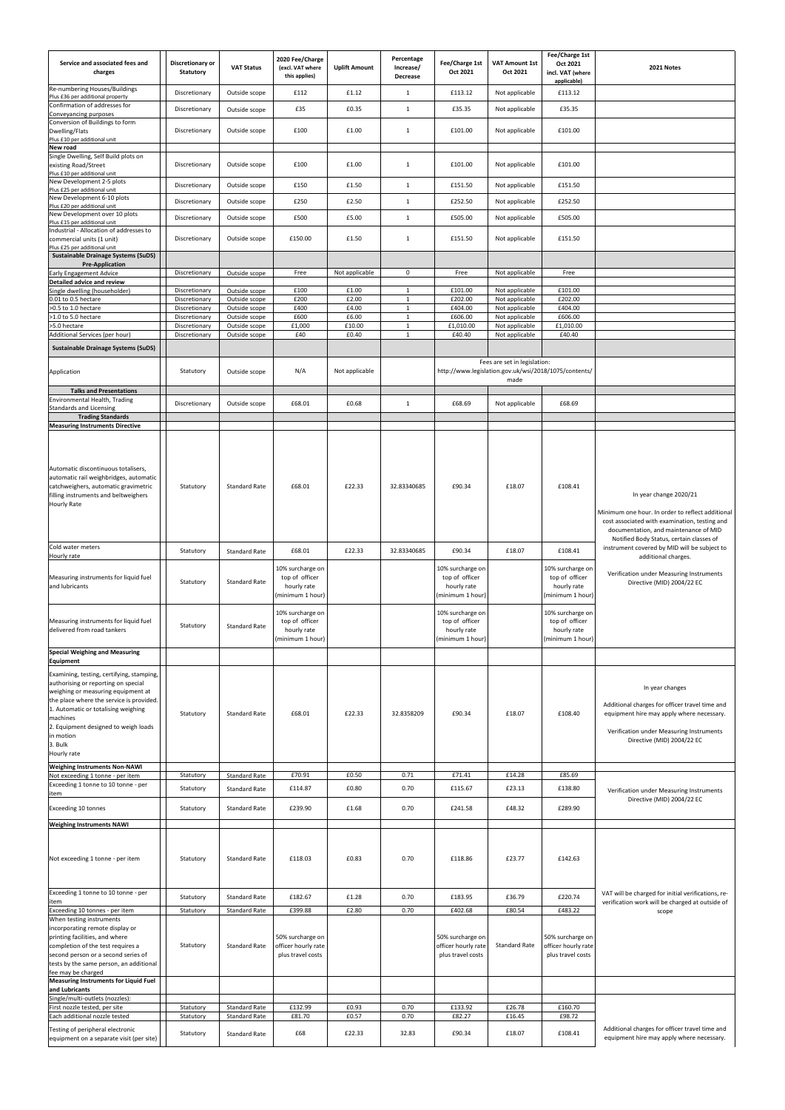| Service and associated fees and<br>charges                                                                                                                                                                                                                                                                                                   | Discretionary or<br><b>Statutory</b> | <b>VAT Status</b>              | 2020 Fee/Charge<br>(excl. VAT where<br>this applies)                  | <b>Uplift Amount</b> | Percentage<br>Increase/<br>Decrease | Fee/Charge 1st<br>Oct 2021                                            | <b>VAT Amount 1st</b><br>Oct 2021                                                             | Fee/Charge 1st<br>Oct 2021<br>incl. VAT (where<br>applicable)         | 2021 Notes                                                                                                                                                                                                       |
|----------------------------------------------------------------------------------------------------------------------------------------------------------------------------------------------------------------------------------------------------------------------------------------------------------------------------------------------|--------------------------------------|--------------------------------|-----------------------------------------------------------------------|----------------------|-------------------------------------|-----------------------------------------------------------------------|-----------------------------------------------------------------------------------------------|-----------------------------------------------------------------------|------------------------------------------------------------------------------------------------------------------------------------------------------------------------------------------------------------------|
| Re-numbering Houses/Buildings<br>Plus £36 per additional property<br>Confirmation of addresses for                                                                                                                                                                                                                                           | Discretionary<br>Discretionary       | Outside scope<br>Outside scope | £112<br>£35                                                           | £1.12<br>£0.35       | $\mathbf{1}$<br>$\mathbf{1}$        | £113.12<br>£35.35                                                     | Not applicable<br>Not applicable                                                              | £113.12<br>£35.35                                                     |                                                                                                                                                                                                                  |
| Conveyancing purposes<br>Conversion of Buildings to form<br>Dwelling/Flats                                                                                                                                                                                                                                                                   | Discretionary                        | Outside scope                  | £100                                                                  | £1.00                | $\mathbf{1}$                        | £101.00                                                               | Not applicable                                                                                | £101.00                                                               |                                                                                                                                                                                                                  |
| Plus £10 per additional unit<br>New road                                                                                                                                                                                                                                                                                                     |                                      |                                |                                                                       |                      |                                     |                                                                       |                                                                                               |                                                                       |                                                                                                                                                                                                                  |
| Single Dwelling, Self Build plots on<br>existing Road/Street<br>Plus £10 per additional unit                                                                                                                                                                                                                                                 | Discretionary                        | Outside scope                  | £100                                                                  | £1.00                | $\mathbf{1}$                        | £101.00                                                               | Not applicable                                                                                | £101.00                                                               |                                                                                                                                                                                                                  |
| New Development 2-5 plots<br>Plus £25 per additional unit                                                                                                                                                                                                                                                                                    | Discretionary                        | Outside scope                  | £150                                                                  | £1.50                | $\mathbf{1}$                        | £151.50                                                               | Not applicable                                                                                | £151.50                                                               |                                                                                                                                                                                                                  |
| New Development 6-10 plots<br>Plus £20 per additional unit                                                                                                                                                                                                                                                                                   | Discretionary                        | Outside scope                  | £250                                                                  | £2.50                | $\mathbf{1}$                        | £252.50                                                               | Not applicable                                                                                | £252.50                                                               |                                                                                                                                                                                                                  |
| New Development over 10 plots<br>Plus £15 per additional unit<br>Industrial - Allocation of addresses to                                                                                                                                                                                                                                     | Discretionary                        | Outside scope                  | £500                                                                  | £5.00                | $\mathbf{1}$                        | £505.00                                                               | Not applicable                                                                                | £505.00                                                               |                                                                                                                                                                                                                  |
| commercial units (1 unit)<br>Plus £25 per additional unit<br><b>Sustainable Drainage Systems (SuDS)</b>                                                                                                                                                                                                                                      | Discretionary                        | Outside scope                  | £150.00                                                               | £1.50                | $\mathbf{1}$                        | £151.50                                                               | Not applicable                                                                                | £151.50                                                               |                                                                                                                                                                                                                  |
| <b>Pre-Application</b><br><b>Early Engagement Advice</b>                                                                                                                                                                                                                                                                                     | Discretionary                        | Outside scope                  | Free                                                                  | Not applicable       | $\mathbf 0$                         | Free                                                                  | Not applicable                                                                                | Free                                                                  |                                                                                                                                                                                                                  |
| Detailed advice and review                                                                                                                                                                                                                                                                                                                   |                                      |                                |                                                                       |                      |                                     |                                                                       |                                                                                               |                                                                       |                                                                                                                                                                                                                  |
| Single dwelling (householder)<br>0.01 to 0.5 hectare                                                                                                                                                                                                                                                                                         | Discretionary<br>Discretionary       | Outside scope<br>Outside scope | £100<br>£200                                                          | £1.00<br>£2.00       | 1<br>$\mathbf{1}$                   | £101.00<br>£202.00                                                    | Not applicable<br>Not applicable                                                              | £101.00<br>£202.00                                                    |                                                                                                                                                                                                                  |
| >0.5 to 1.0 hectare<br>>1.0 to 5.0 hectare                                                                                                                                                                                                                                                                                                   | Discretionary<br>Discretionary       | Outside scope<br>Outside scope | £400<br>£600                                                          | £4.00<br>£6.00       | $\mathbf{1}$<br>$\mathbf{1}$        | £404.00<br>£606.00                                                    | Not applicable<br>Not applicable                                                              | £404.00<br>£606.00                                                    |                                                                                                                                                                                                                  |
| >5.0 hectare                                                                                                                                                                                                                                                                                                                                 | Discretionary                        | Outside scope                  | £1,000                                                                | £10.00               | $\mathbf{1}$                        | £1,010.00                                                             | Not applicable                                                                                | £1,010.00                                                             |                                                                                                                                                                                                                  |
| Additional Services (per hour)                                                                                                                                                                                                                                                                                                               | Discretionary                        | Outside scope                  | £40                                                                   | £0.40                | $\mathbf{1}$                        | £40.40                                                                | Not applicable                                                                                | £40.40                                                                |                                                                                                                                                                                                                  |
| <b>Sustainable Drainage Systems (SuDS)</b>                                                                                                                                                                                                                                                                                                   |                                      |                                |                                                                       |                      |                                     |                                                                       |                                                                                               |                                                                       |                                                                                                                                                                                                                  |
| Application                                                                                                                                                                                                                                                                                                                                  | Statutory                            | Outside scope                  | N/A                                                                   | Not applicable       |                                     |                                                                       | Fees are set in legislation:<br>http://www.legislation.gov.uk/wsi/2018/1075/contents/<br>made |                                                                       |                                                                                                                                                                                                                  |
| <b>Talks and Presentations</b><br>Environmental Health, Trading                                                                                                                                                                                                                                                                              | Discretionary                        |                                | £68.01                                                                | £0.68                | $\mathbf{1}$                        | £68.69                                                                | Not applicable                                                                                | £68.69                                                                |                                                                                                                                                                                                                  |
| <b>Standards and Licensing</b><br><b>Trading Standards</b>                                                                                                                                                                                                                                                                                   |                                      | Outside scope                  |                                                                       |                      |                                     |                                                                       |                                                                                               |                                                                       |                                                                                                                                                                                                                  |
| <b>Measuring Instruments Directive</b>                                                                                                                                                                                                                                                                                                       |                                      |                                |                                                                       |                      |                                     |                                                                       |                                                                                               |                                                                       |                                                                                                                                                                                                                  |
| Automatic discontinuous totalisers,<br>automatic rail weighbridges, automatic<br>catchweighers, automatic gravimetric<br>filling instruments and beltweighers<br>Hourly Rate                                                                                                                                                                 | Statutory                            | <b>Standard Rate</b>           | £68.01                                                                | £22.33               | 32.83340685                         | £90.34                                                                | £18.07                                                                                        | £108.41                                                               | In year change 2020/21<br>Minimum one hour. In order to reflect additional<br>cost associated with examination, testing and<br>documentation, and maintenance of MID<br>Notified Body Status, certain classes of |
| Cold water meters<br>Hourly rate                                                                                                                                                                                                                                                                                                             | Statutory                            | Standard Rate                  | £68.01                                                                | £22.33               | 32.83340685                         | £90.34                                                                | £18.07                                                                                        | £108.41                                                               | instrument covered by MID will be subject to<br>additional charges.                                                                                                                                              |
| Measuring instruments for liquid fuel<br>and lubricants                                                                                                                                                                                                                                                                                      | Statutory                            | <b>Standard Rate</b>           | 10% surcharge on<br>top of officer<br>hourly rate<br>(minimum 1 hour) |                      |                                     | 10% surcharge on<br>top of officer<br>hourly rate<br>(minimum 1 hour) |                                                                                               | 10% surcharge on<br>top of officer<br>hourly rate<br>(minimum 1 hour) | Verification under Measuring Instruments<br>Directive (MID) 2004/22 EC                                                                                                                                           |
| Measuring instruments for liquid fuel<br>delivered from road tankers                                                                                                                                                                                                                                                                         | Statutory                            | <b>Standard Rate</b>           | 10% surcharge on<br>top of officer<br>hourly rate<br>(minimum 1 hour) |                      |                                     | 10% surcharge on<br>top of officer<br>hourly rate<br>(minimum 1 hour) |                                                                                               | 10% surcharge on<br>top of officer<br>hourly rate<br>(minimum 1 hour) |                                                                                                                                                                                                                  |
| <b>Special Weighing and Measuring</b><br>Equipment                                                                                                                                                                                                                                                                                           |                                      |                                |                                                                       |                      |                                     |                                                                       |                                                                                               |                                                                       |                                                                                                                                                                                                                  |
| Examining, testing, certifying, stamping,<br>authorising or reporting on special<br>weighing or measuring equipment at<br>the place where the service is provided.<br>1. Automatic or totalising weighing<br>machines<br>2. Equipment designed to weigh loads<br>in motion<br>3. Bulk<br>Hourly rate<br><b>Weighing Instruments Non-NAWI</b> | Statutory                            | <b>Standard Rate</b>           | £68.01                                                                | £22.33               | 32.8358209                          | £90.34                                                                | £18.07                                                                                        | £108.40                                                               | In year changes<br>Additional charges for officer travel time and<br>equipment hire may apply where necessary.<br>Verification under Measuring Instruments<br>Directive (MID) 2004/22 EC                         |
| Not exceeding 1 tonne - per item                                                                                                                                                                                                                                                                                                             | Statutory                            | <b>Standard Rate</b>           | £70.91                                                                | £0.50                | 0.71                                | £71.41                                                                | £14.28                                                                                        | £85.69                                                                |                                                                                                                                                                                                                  |
| Exceeding 1 tonne to 10 tonne - per<br>item                                                                                                                                                                                                                                                                                                  | Statutory                            | Standard Rate                  | £114.87                                                               | £0.80                | 0.70                                | £115.67                                                               | £23.13                                                                                        | £138.80                                                               | Verification under Measuring Instruments                                                                                                                                                                         |
| Exceeding 10 tonnes                                                                                                                                                                                                                                                                                                                          | Statutory                            | Standard Rate                  | £239.90                                                               | £1.68                | 0.70                                | £241.58                                                               | £48.32                                                                                        | £289.90                                                               | Directive (MID) 2004/22 EC                                                                                                                                                                                       |
| <b>Weighing Instruments NAWI</b><br>Not exceeding 1 tonne - per item                                                                                                                                                                                                                                                                         | Statutory                            | <b>Standard Rate</b>           | £118.03                                                               | £0.83                | 0.70                                | £118.86                                                               | £23.77                                                                                        | £142.63                                                               |                                                                                                                                                                                                                  |
| Exceeding 1 tonne to 10 tonne - per                                                                                                                                                                                                                                                                                                          | Statutory                            | <b>Standard Rate</b>           | £182.67                                                               | £1.28                | 0.70                                | £183.95                                                               | £36.79                                                                                        | £220.74                                                               | VAT will be charged for initial verifications, re-                                                                                                                                                               |
| item<br>Exceeding 10 tonnes - per item                                                                                                                                                                                                                                                                                                       | Statutory                            | Standard Rate                  | £399.88                                                               | £2.80                | 0.70                                | £402.68                                                               | £80.54                                                                                        | £483.22                                                               | verification work will be charged at outside of<br>scope                                                                                                                                                         |
| When testing instruments<br>incorporating remote display or<br>printing facilities, and where<br>completion of the test requires a<br>second person or a second series of<br>tests by the same person, an additional<br>fee may be charged<br><b>Measuring Instruments for Liquid Fuel</b>                                                   | Statutory                            | <b>Standard Rate</b>           | 50% surcharge on<br>officer hourly rate<br>plus travel costs          |                      |                                     | 50% surcharge on<br>officer hourly rate<br>plus travel costs          | <b>Standard Rate</b>                                                                          | 50% surcharge on<br>officer hourly rate<br>plus travel costs          |                                                                                                                                                                                                                  |
| and Lubricants                                                                                                                                                                                                                                                                                                                               |                                      |                                |                                                                       |                      |                                     |                                                                       |                                                                                               |                                                                       |                                                                                                                                                                                                                  |
| Single/multi-outlets (nozzles):<br>First nozzle tested, per site                                                                                                                                                                                                                                                                             | Statutory                            | <b>Standard Rate</b>           | £132.99                                                               | £0.93                | 0.70                                | £133.92                                                               | £26.78                                                                                        | £160.70                                                               |                                                                                                                                                                                                                  |
| Each additional nozzle tested<br>Testing of peripheral electronic                                                                                                                                                                                                                                                                            | Statutory<br>Statutory               | Standard Rate<br>Standard Rate | £81.70<br>£68                                                         | £0.57<br>£22.33      | 0.70<br>32.83                       | £82.27<br>£90.34                                                      | £16.45<br>£18.07                                                                              | £98.72<br>£108.41                                                     | Additional charges for officer travel time and                                                                                                                                                                   |
| equipment on a separate visit (per site)                                                                                                                                                                                                                                                                                                     |                                      |                                |                                                                       |                      |                                     |                                                                       |                                                                                               |                                                                       | equipment hire may apply where necessary.                                                                                                                                                                        |